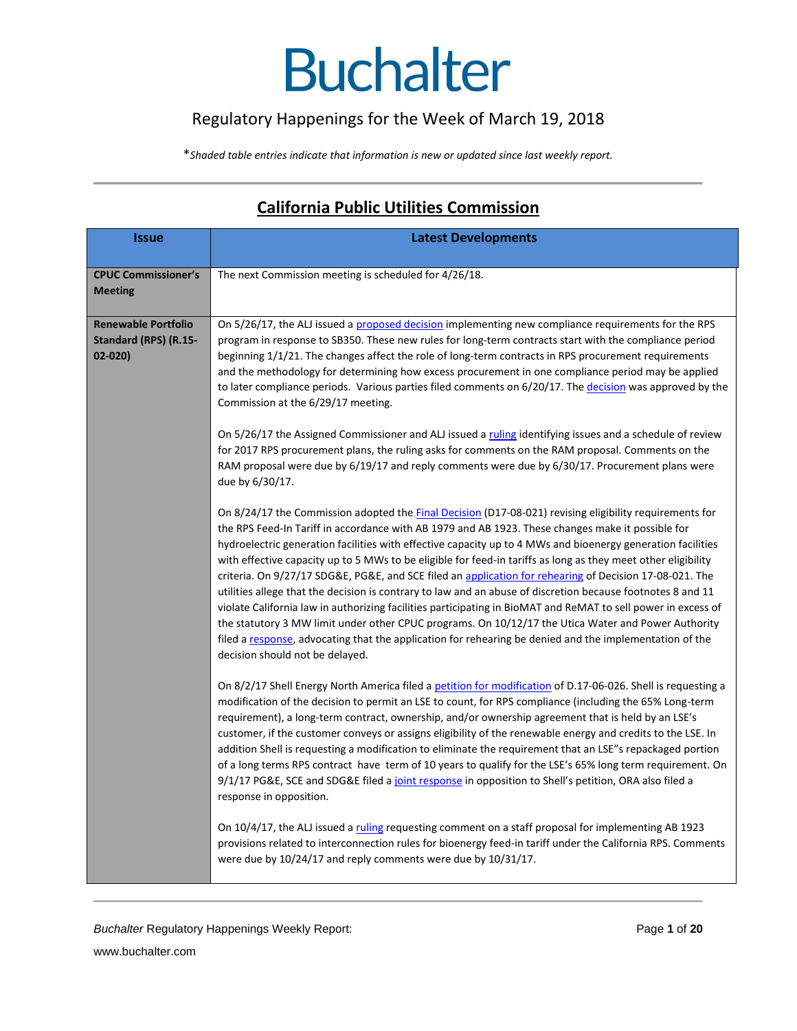### Regulatory Happenings for the Week of March 19, 2018

\**Shaded table entries indicate that information is new or updated since last weekly report.*

| <b>Issue</b>               | <b>Latest Developments</b>                                                                                                                                                                                     |
|----------------------------|----------------------------------------------------------------------------------------------------------------------------------------------------------------------------------------------------------------|
|                            |                                                                                                                                                                                                                |
| <b>CPUC Commissioner's</b> | The next Commission meeting is scheduled for 4/26/18.                                                                                                                                                          |
| <b>Meeting</b>             |                                                                                                                                                                                                                |
| <b>Renewable Portfolio</b> |                                                                                                                                                                                                                |
| Standard (RPS) (R.15-      | On 5/26/17, the ALJ issued a proposed decision implementing new compliance requirements for the RPS                                                                                                            |
| $02 - 020$                 | program in response to SB350. These new rules for long-term contracts start with the compliance period<br>beginning 1/1/21. The changes affect the role of long-term contracts in RPS procurement requirements |
|                            | and the methodology for determining how excess procurement in one compliance period may be applied                                                                                                             |
|                            | to later compliance periods. Various parties filed comments on 6/20/17. The decision was approved by the                                                                                                       |
|                            | Commission at the 6/29/17 meeting.                                                                                                                                                                             |
|                            | On 5/26/17 the Assigned Commissioner and ALJ issued a ruling identifying issues and a schedule of review                                                                                                       |
|                            | for 2017 RPS procurement plans, the ruling asks for comments on the RAM proposal. Comments on the                                                                                                              |
|                            | RAM proposal were due by 6/19/17 and reply comments were due by 6/30/17. Procurement plans were                                                                                                                |
|                            | due by 6/30/17.                                                                                                                                                                                                |
|                            | On 8/24/17 the Commission adopted the <b>Final Decision</b> (D17-08-021) revising eligibility requirements for                                                                                                 |
|                            | the RPS Feed-In Tariff in accordance with AB 1979 and AB 1923. These changes make it possible for                                                                                                              |
|                            | hydroelectric generation facilities with effective capacity up to 4 MWs and bioenergy generation facilities                                                                                                    |
|                            | with effective capacity up to 5 MWs to be eligible for feed-in tariffs as long as they meet other eligibility                                                                                                  |
|                            | criteria. On 9/27/17 SDG&E, PG&E, and SCE filed an application for rehearing of Decision 17-08-021. The                                                                                                        |
|                            | utilities allege that the decision is contrary to law and an abuse of discretion because footnotes 8 and 11                                                                                                    |
|                            | violate California law in authorizing facilities participating in BioMAT and ReMAT to sell power in excess of                                                                                                  |
|                            | the statutory 3 MW limit under other CPUC programs. On 10/12/17 the Utica Water and Power Authority<br>filed a response, advocating that the application for rehearing be denied and the implementation of the |
|                            | decision should not be delayed.                                                                                                                                                                                |
|                            |                                                                                                                                                                                                                |
|                            | On 8/2/17 Shell Energy North America filed a petition for modification of D.17-06-026. Shell is requesting a                                                                                                   |
|                            | modification of the decision to permit an LSE to count, for RPS compliance (including the 65% Long-term                                                                                                        |
|                            | requirement), a long-term contract, ownership, and/or ownership agreement that is held by an LSE's                                                                                                             |
|                            | customer, if the customer conveys or assigns eligibility of the renewable energy and credits to the LSE. In                                                                                                    |
|                            | addition Shell is requesting a modification to eliminate the requirement that an LSE"s repackaged portion                                                                                                      |
|                            | of a long terms RPS contract have term of 10 years to qualify for the LSE's 65% long term requirement. On                                                                                                      |
|                            | 9/1/17 PG&E, SCE and SDG&E filed a joint response in opposition to Shell's petition, ORA also filed a<br>response in opposition.                                                                               |
|                            |                                                                                                                                                                                                                |
|                            | On 10/4/17, the ALJ issued a ruling requesting comment on a staff proposal for implementing AB 1923                                                                                                            |
|                            | provisions related to interconnection rules for bioenergy feed-in tariff under the California RPS. Comments                                                                                                    |
|                            | were due by 10/24/17 and reply comments were due by 10/31/17.                                                                                                                                                  |

### **California Public Utilities Commission**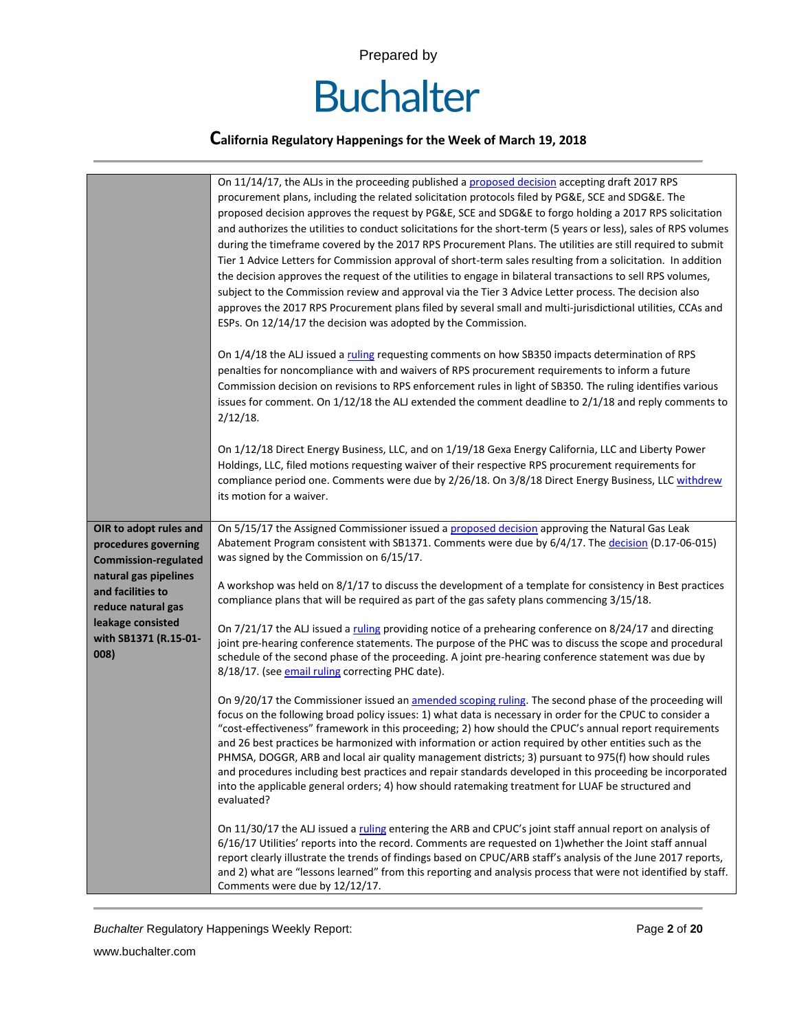

|                                                                               | On 11/14/17, the ALJs in the proceeding published a proposed decision accepting draft 2017 RPS<br>procurement plans, including the related solicitation protocols filed by PG&E, SCE and SDG&E. The<br>proposed decision approves the request by PG&E, SCE and SDG&E to forgo holding a 2017 RPS solicitation<br>and authorizes the utilities to conduct solicitations for the short-term (5 years or less), sales of RPS volumes<br>during the timeframe covered by the 2017 RPS Procurement Plans. The utilities are still required to submit<br>Tier 1 Advice Letters for Commission approval of short-term sales resulting from a solicitation. In addition<br>the decision approves the request of the utilities to engage in bilateral transactions to sell RPS volumes,<br>subject to the Commission review and approval via the Tier 3 Advice Letter process. The decision also<br>approves the 2017 RPS Procurement plans filed by several small and multi-jurisdictional utilities, CCAs and<br>ESPs. On 12/14/17 the decision was adopted by the Commission. |
|-------------------------------------------------------------------------------|-------------------------------------------------------------------------------------------------------------------------------------------------------------------------------------------------------------------------------------------------------------------------------------------------------------------------------------------------------------------------------------------------------------------------------------------------------------------------------------------------------------------------------------------------------------------------------------------------------------------------------------------------------------------------------------------------------------------------------------------------------------------------------------------------------------------------------------------------------------------------------------------------------------------------------------------------------------------------------------------------------------------------------------------------------------------------|
|                                                                               | On 1/4/18 the ALJ issued a ruling requesting comments on how SB350 impacts determination of RPS<br>penalties for noncompliance with and waivers of RPS procurement requirements to inform a future<br>Commission decision on revisions to RPS enforcement rules in light of SB350. The ruling identifies various<br>issues for comment. On 1/12/18 the ALJ extended the comment deadline to 2/1/18 and reply comments to<br>$2/12/18$ .                                                                                                                                                                                                                                                                                                                                                                                                                                                                                                                                                                                                                                 |
|                                                                               | On 1/12/18 Direct Energy Business, LLC, and on 1/19/18 Gexa Energy California, LLC and Liberty Power<br>Holdings, LLC, filed motions requesting waiver of their respective RPS procurement requirements for<br>compliance period one. Comments were due by 2/26/18. On 3/8/18 Direct Energy Business, LLC withdrew<br>its motion for a waiver.                                                                                                                                                                                                                                                                                                                                                                                                                                                                                                                                                                                                                                                                                                                          |
| OIR to adopt rules and<br>procedures governing<br><b>Commission-regulated</b> | On 5/15/17 the Assigned Commissioner issued a proposed decision approving the Natural Gas Leak<br>Abatement Program consistent with SB1371. Comments were due by 6/4/17. The decision (D.17-06-015)<br>was signed by the Commission on 6/15/17.                                                                                                                                                                                                                                                                                                                                                                                                                                                                                                                                                                                                                                                                                                                                                                                                                         |
| natural gas pipelines<br>and facilities to<br>reduce natural gas              | A workshop was held on 8/1/17 to discuss the development of a template for consistency in Best practices<br>compliance plans that will be required as part of the gas safety plans commencing 3/15/18.                                                                                                                                                                                                                                                                                                                                                                                                                                                                                                                                                                                                                                                                                                                                                                                                                                                                  |
| leakage consisted<br>with SB1371 (R.15-01-<br>008)                            | On 7/21/17 the ALJ issued a ruling providing notice of a prehearing conference on 8/24/17 and directing<br>joint pre-hearing conference statements. The purpose of the PHC was to discuss the scope and procedural<br>schedule of the second phase of the proceeding. A joint pre-hearing conference statement was due by<br>8/18/17. (see email ruling correcting PHC date).                                                                                                                                                                                                                                                                                                                                                                                                                                                                                                                                                                                                                                                                                           |
|                                                                               | On 9/20/17 the Commissioner issued an amended scoping ruling. The second phase of the proceeding will<br>focus on the following broad policy issues: 1) what data is necessary in order for the CPUC to consider a<br>"cost-effectiveness" framework in this proceeding; 2) how should the CPUC's annual report requirements<br>and 26 best practices be harmonized with information or action required by other entities such as the<br>PHMSA, DOGGR, ARB and local air quality management districts; 3) pursuant to 975(f) how should rules<br>and procedures including best practices and repair standards developed in this proceeding be incorporated<br>into the applicable general orders; 4) how should ratemaking treatment for LUAF be structured and<br>evaluated?                                                                                                                                                                                                                                                                                           |
|                                                                               | On 11/30/17 the ALJ issued a ruling entering the ARB and CPUC's joint staff annual report on analysis of<br>6/16/17 Utilities' reports into the record. Comments are requested on 1) whether the Joint staff annual<br>report clearly illustrate the trends of findings based on CPUC/ARB staff's analysis of the June 2017 reports,<br>and 2) what are "lessons learned" from this reporting and analysis process that were not identified by staff.<br>Comments were due by 12/12/17.                                                                                                                                                                                                                                                                                                                                                                                                                                                                                                                                                                                 |

**Buchalter Regulatory Happenings Weekly Report: Page 2 of 20 Page 2 of 20**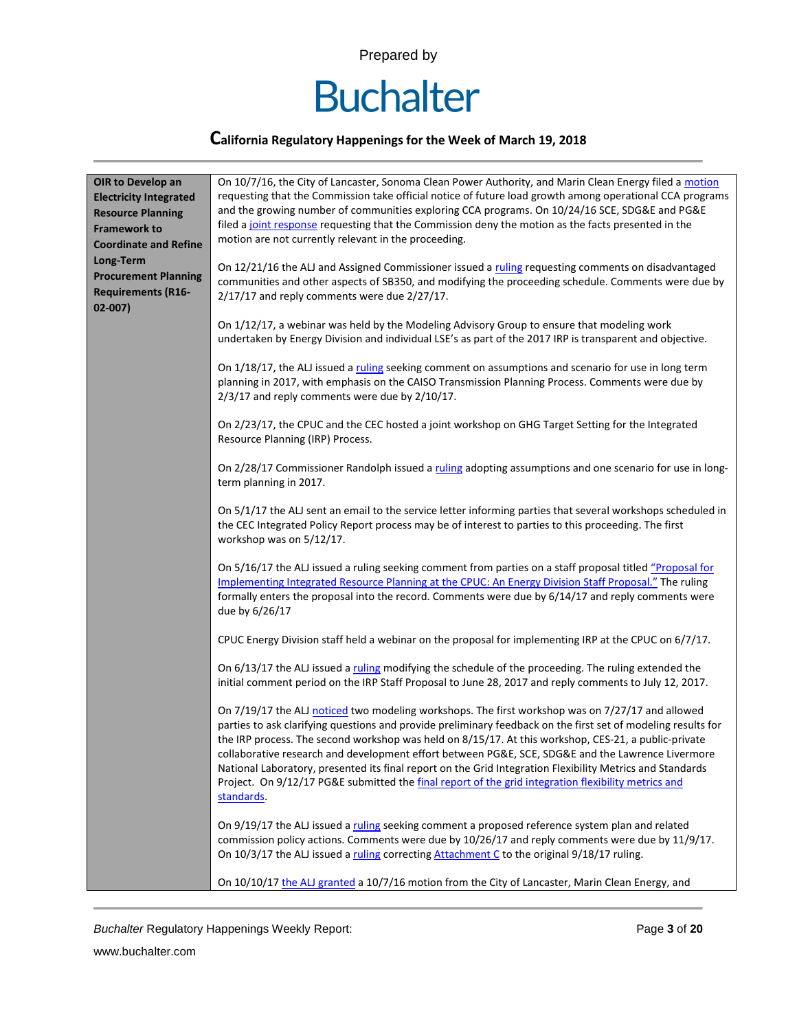

### **California Regulatory Happenings for the Week of March 19, 2018**

| OIR to Develop an<br><b>Electricity Integrated</b><br><b>Resource Planning</b><br><b>Framework to</b><br><b>Coordinate and Refine</b><br>Long-Term<br><b>Procurement Planning</b><br><b>Requirements (R16-</b> | On 10/7/16, the City of Lancaster, Sonoma Clean Power Authority, and Marin Clean Energy filed a motion<br>requesting that the Commission take official notice of future load growth among operational CCA programs<br>and the growing number of communities exploring CCA programs. On 10/24/16 SCE, SDG&E and PG&E<br>filed a joint response requesting that the Commission deny the motion as the facts presented in the<br>motion are not currently relevant in the proceeding.<br>On 12/21/16 the ALJ and Assigned Commissioner issued a ruling requesting comments on disadvantaged<br>communities and other aspects of SB350, and modifying the proceeding schedule. Comments were due by<br>2/17/17 and reply comments were due 2/27/17. |
|----------------------------------------------------------------------------------------------------------------------------------------------------------------------------------------------------------------|-------------------------------------------------------------------------------------------------------------------------------------------------------------------------------------------------------------------------------------------------------------------------------------------------------------------------------------------------------------------------------------------------------------------------------------------------------------------------------------------------------------------------------------------------------------------------------------------------------------------------------------------------------------------------------------------------------------------------------------------------|
| $02 - 007$                                                                                                                                                                                                     | On 1/12/17, a webinar was held by the Modeling Advisory Group to ensure that modeling work<br>undertaken by Energy Division and individual LSE's as part of the 2017 IRP is transparent and objective.                                                                                                                                                                                                                                                                                                                                                                                                                                                                                                                                          |
|                                                                                                                                                                                                                | On 1/18/17, the ALJ issued a ruling seeking comment on assumptions and scenario for use in long term<br>planning in 2017, with emphasis on the CAISO Transmission Planning Process. Comments were due by<br>2/3/17 and reply comments were due by 2/10/17.                                                                                                                                                                                                                                                                                                                                                                                                                                                                                      |
|                                                                                                                                                                                                                | On 2/23/17, the CPUC and the CEC hosted a joint workshop on GHG Target Setting for the Integrated<br>Resource Planning (IRP) Process.                                                                                                                                                                                                                                                                                                                                                                                                                                                                                                                                                                                                           |
|                                                                                                                                                                                                                | On 2/28/17 Commissioner Randolph issued a ruling adopting assumptions and one scenario for use in long-<br>term planning in 2017.                                                                                                                                                                                                                                                                                                                                                                                                                                                                                                                                                                                                               |
|                                                                                                                                                                                                                | On 5/1/17 the ALJ sent an email to the service letter informing parties that several workshops scheduled in<br>the CEC Integrated Policy Report process may be of interest to parties to this proceeding. The first<br>workshop was on 5/12/17.                                                                                                                                                                                                                                                                                                                                                                                                                                                                                                 |
|                                                                                                                                                                                                                | On 5/16/17 the ALJ issued a ruling seeking comment from parties on a staff proposal titled "Proposal for<br>Implementing Integrated Resource Planning at the CPUC: An Energy Division Staff Proposal." The ruling<br>formally enters the proposal into the record. Comments were due by 6/14/17 and reply comments were<br>due by 6/26/17                                                                                                                                                                                                                                                                                                                                                                                                       |
|                                                                                                                                                                                                                | CPUC Energy Division staff held a webinar on the proposal for implementing IRP at the CPUC on 6/7/17.                                                                                                                                                                                                                                                                                                                                                                                                                                                                                                                                                                                                                                           |
|                                                                                                                                                                                                                | On 6/13/17 the ALJ issued a ruling modifying the schedule of the proceeding. The ruling extended the<br>initial comment period on the IRP Staff Proposal to June 28, 2017 and reply comments to July 12, 2017.                                                                                                                                                                                                                                                                                                                                                                                                                                                                                                                                  |
|                                                                                                                                                                                                                | On 7/19/17 the ALJ noticed two modeling workshops. The first workshop was on 7/27/17 and allowed<br>parties to ask clarifying questions and provide preliminary feedback on the first set of modeling results for<br>the IRP process. The second workshop was held on 8/15/17. At this workshop, CES-21, a public-private<br>collaborative research and development effort between PG&E, SCE, SDG&E and the Lawrence Livermore<br>National Laboratory, presented its final report on the Grid Integration Flexibility Metrics and Standards<br>Project. On 9/12/17 PG&E submitted the final report of the grid integration flexibility metrics and<br>standards.                                                                                |
|                                                                                                                                                                                                                | On 9/19/17 the ALJ issued a ruling seeking comment a proposed reference system plan and related<br>commission policy actions. Comments were due by 10/26/17 and reply comments were due by 11/9/17.<br>On 10/3/17 the ALJ issued a ruling correcting Attachment C to the original 9/18/17 ruling.                                                                                                                                                                                                                                                                                                                                                                                                                                               |
|                                                                                                                                                                                                                | On 10/10/17 the ALJ granted a 10/7/16 motion from the City of Lancaster, Marin Clean Energy, and                                                                                                                                                                                                                                                                                                                                                                                                                                                                                                                                                                                                                                                |

**Buchalter Regulatory Happenings Weekly Report: Page 3 of 20 Page 3 of 20**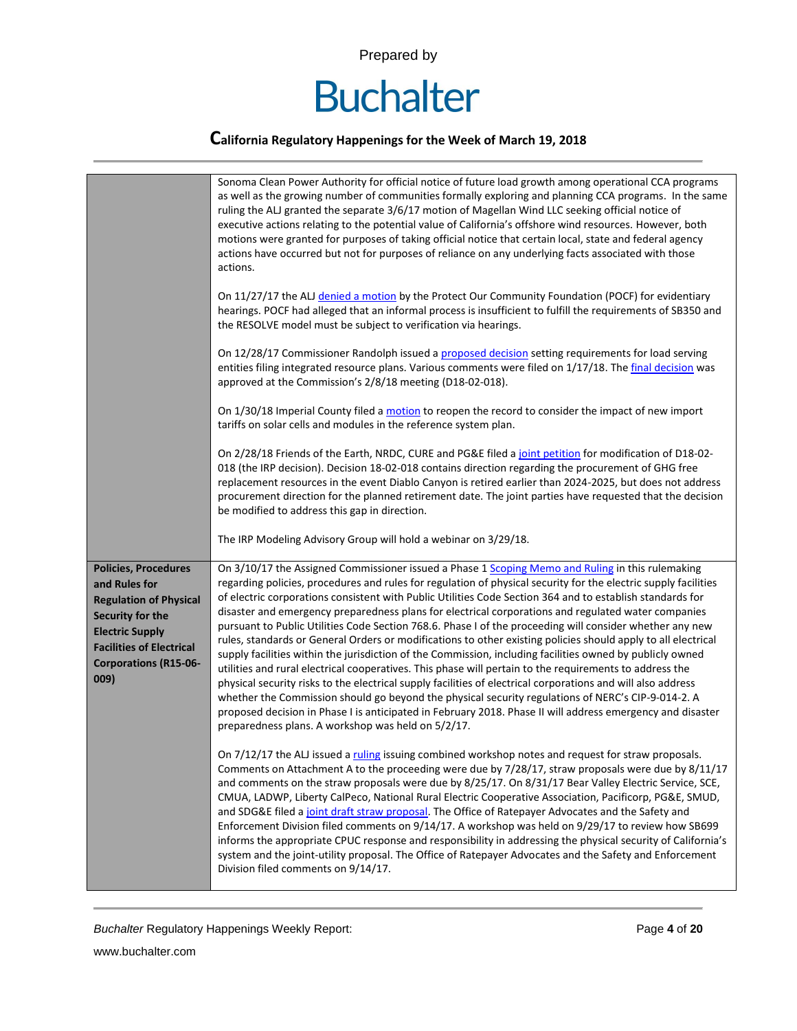

|                                                                                                                                                                                                        | Sonoma Clean Power Authority for official notice of future load growth among operational CCA programs<br>as well as the growing number of communities formally exploring and planning CCA programs. In the same<br>ruling the ALJ granted the separate 3/6/17 motion of Magellan Wind LLC seeking official notice of<br>executive actions relating to the potential value of California's offshore wind resources. However, both<br>motions were granted for purposes of taking official notice that certain local, state and federal agency<br>actions have occurred but not for purposes of reliance on any underlying facts associated with those<br>actions.<br>On 11/27/17 the ALJ denied a motion by the Protect Our Community Foundation (POCF) for evidentiary<br>hearings. POCF had alleged that an informal process is insufficient to fulfill the requirements of SB350 and<br>the RESOLVE model must be subject to verification via hearings.<br>On 12/28/17 Commissioner Randolph issued a proposed decision setting requirements for load serving<br>entities filing integrated resource plans. Various comments were filed on 1/17/18. The final decision was<br>approved at the Commission's 2/8/18 meeting (D18-02-018).<br>On 1/30/18 Imperial County filed a motion to reopen the record to consider the impact of new import<br>tariffs on solar cells and modules in the reference system plan.<br>On 2/28/18 Friends of the Earth, NRDC, CURE and PG&E filed a joint petition for modification of D18-02-<br>018 (the IRP decision). Decision 18-02-018 contains direction regarding the procurement of GHG free |
|--------------------------------------------------------------------------------------------------------------------------------------------------------------------------------------------------------|----------------------------------------------------------------------------------------------------------------------------------------------------------------------------------------------------------------------------------------------------------------------------------------------------------------------------------------------------------------------------------------------------------------------------------------------------------------------------------------------------------------------------------------------------------------------------------------------------------------------------------------------------------------------------------------------------------------------------------------------------------------------------------------------------------------------------------------------------------------------------------------------------------------------------------------------------------------------------------------------------------------------------------------------------------------------------------------------------------------------------------------------------------------------------------------------------------------------------------------------------------------------------------------------------------------------------------------------------------------------------------------------------------------------------------------------------------------------------------------------------------------------------------------------------------------------------------------------------------------------------------------|
|                                                                                                                                                                                                        | replacement resources in the event Diablo Canyon is retired earlier than 2024-2025, but does not address<br>procurement direction for the planned retirement date. The joint parties have requested that the decision<br>be modified to address this gap in direction.<br>The IRP Modeling Advisory Group will hold a webinar on 3/29/18.                                                                                                                                                                                                                                                                                                                                                                                                                                                                                                                                                                                                                                                                                                                                                                                                                                                                                                                                                                                                                                                                                                                                                                                                                                                                                              |
| <b>Policies, Procedures</b><br>and Rules for<br><b>Regulation of Physical</b><br>Security for the<br><b>Electric Supply</b><br><b>Facilities of Electrical</b><br><b>Corporations (R15-06-</b><br>009) | On 3/10/17 the Assigned Commissioner issued a Phase 1 Scoping Memo and Ruling in this rulemaking<br>regarding policies, procedures and rules for regulation of physical security for the electric supply facilities<br>of electric corporations consistent with Public Utilities Code Section 364 and to establish standards for<br>disaster and emergency preparedness plans for electrical corporations and regulated water companies<br>pursuant to Public Utilities Code Section 768.6. Phase I of the proceeding will consider whether any new<br>rules, standards or General Orders or modifications to other existing policies should apply to all electrical<br>supply facilities within the jurisdiction of the Commission, including facilities owned by publicly owned<br>utilities and rural electrical cooperatives. This phase will pertain to the requirements to address the<br>physical security risks to the electrical supply facilities of electrical corporations and will also address<br>whether the Commission should go beyond the physical security regulations of NERC's CIP-9-014-2. A<br>proposed decision in Phase I is anticipated in February 2018. Phase II will address emergency and disaster<br>preparedness plans. A workshop was held on 5/2/17.                                                                                                                                                                                                                                                                                                                                                 |
|                                                                                                                                                                                                        | On 7/12/17 the ALJ issued a ruling issuing combined workshop notes and request for straw proposals.<br>Comments on Attachment A to the proceeding were due by 7/28/17, straw proposals were due by 8/11/17<br>and comments on the straw proposals were due by 8/25/17. On 8/31/17 Bear Valley Electric Service, SCE,<br>CMUA, LADWP, Liberty CalPeco, National Rural Electric Cooperative Association, Pacificorp, PG&E, SMUD,<br>and SDG&E filed a joint draft straw proposal. The Office of Ratepayer Advocates and the Safety and<br>Enforcement Division filed comments on 9/14/17. A workshop was held on 9/29/17 to review how SB699<br>informs the appropriate CPUC response and responsibility in addressing the physical security of California's<br>system and the joint-utility proposal. The Office of Ratepayer Advocates and the Safety and Enforcement<br>Division filed comments on 9/14/17.                                                                                                                                                                                                                                                                                                                                                                                                                                                                                                                                                                                                                                                                                                                           |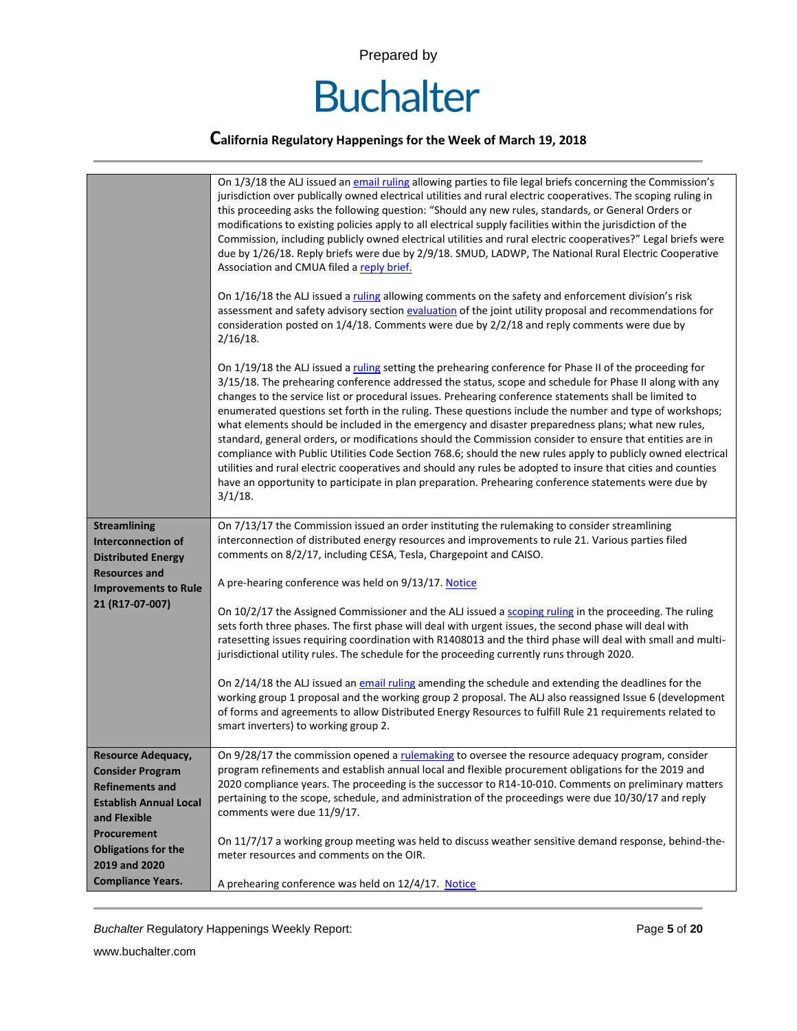

|                                                                        | On 1/3/18 the ALJ issued an email ruling allowing parties to file legal briefs concerning the Commission's<br>jurisdiction over publically owned electrical utilities and rural electric cooperatives. The scoping ruling in<br>this proceeding asks the following question: "Should any new rules, standards, or General Orders or<br>modifications to existing policies apply to all electrical supply facilities within the jurisdiction of the<br>Commission, including publicly owned electrical utilities and rural electric cooperatives?" Legal briefs were<br>due by 1/26/18. Reply briefs were due by 2/9/18. SMUD, LADWP, The National Rural Electric Cooperative<br>Association and CMUA filed a reply brief.<br>On 1/16/18 the ALJ issued a ruling allowing comments on the safety and enforcement division's risk<br>assessment and safety advisory section evaluation of the joint utility proposal and recommendations for<br>consideration posted on 1/4/18. Comments were due by 2/2/18 and reply comments were due by<br>$2/16/18$ . |
|------------------------------------------------------------------------|---------------------------------------------------------------------------------------------------------------------------------------------------------------------------------------------------------------------------------------------------------------------------------------------------------------------------------------------------------------------------------------------------------------------------------------------------------------------------------------------------------------------------------------------------------------------------------------------------------------------------------------------------------------------------------------------------------------------------------------------------------------------------------------------------------------------------------------------------------------------------------------------------------------------------------------------------------------------------------------------------------------------------------------------------------|
|                                                                        | On 1/19/18 the ALJ issued a ruling setting the prehearing conference for Phase II of the proceeding for<br>3/15/18. The prehearing conference addressed the status, scope and schedule for Phase II along with any<br>changes to the service list or procedural issues. Prehearing conference statements shall be limited to<br>enumerated questions set forth in the ruling. These questions include the number and type of workshops;<br>what elements should be included in the emergency and disaster preparedness plans; what new rules,<br>standard, general orders, or modifications should the Commission consider to ensure that entities are in<br>compliance with Public Utilities Code Section 768.6; should the new rules apply to publicly owned electrical<br>utilities and rural electric cooperatives and should any rules be adopted to insure that cities and counties<br>have an opportunity to participate in plan preparation. Prehearing conference statements were due by<br>$3/1/18$ .                                         |
| <b>Streamlining</b><br>Interconnection of<br><b>Distributed Energy</b> | On 7/13/17 the Commission issued an order instituting the rulemaking to consider streamlining<br>interconnection of distributed energy resources and improvements to rule 21. Various parties filed<br>comments on 8/2/17, including CESA, Tesla, Chargepoint and CAISO.                                                                                                                                                                                                                                                                                                                                                                                                                                                                                                                                                                                                                                                                                                                                                                                |
| <b>Resources and</b><br><b>Improvements to Rule</b>                    | A pre-hearing conference was held on 9/13/17. Notice                                                                                                                                                                                                                                                                                                                                                                                                                                                                                                                                                                                                                                                                                                                                                                                                                                                                                                                                                                                                    |
| 21 (R17-07-007)                                                        | On 10/2/17 the Assigned Commissioner and the ALJ issued a scoping ruling in the proceeding. The ruling<br>sets forth three phases. The first phase will deal with urgent issues, the second phase will deal with<br>ratesetting issues requiring coordination with R1408013 and the third phase will deal with small and multi-<br>jurisdictional utility rules. The schedule for the proceeding currently runs through 2020.                                                                                                                                                                                                                                                                                                                                                                                                                                                                                                                                                                                                                           |
|                                                                        | On 2/14/18 the ALJ issued an email ruling amending the schedule and extending the deadlines for the<br>working group 1 proposal and the working group 2 proposal. The ALJ also reassigned Issue 6 (development<br>of forms and agreements to allow Distributed Energy Resources to fulfill Rule 21 requirements related to<br>smart inverters) to working group 2.                                                                                                                                                                                                                                                                                                                                                                                                                                                                                                                                                                                                                                                                                      |
| Resource Adequacy,                                                     | On 9/28/17 the commission opened a rulemaking to oversee the resource adequacy program, consider                                                                                                                                                                                                                                                                                                                                                                                                                                                                                                                                                                                                                                                                                                                                                                                                                                                                                                                                                        |
| <b>Consider Program</b>                                                | program refinements and establish annual local and flexible procurement obligations for the 2019 and<br>2020 compliance years. The proceeding is the successor to R14-10-010. Comments on preliminary matters                                                                                                                                                                                                                                                                                                                                                                                                                                                                                                                                                                                                                                                                                                                                                                                                                                           |
| <b>Refinements and</b><br><b>Establish Annual Local</b>                | pertaining to the scope, schedule, and administration of the proceedings were due 10/30/17 and reply                                                                                                                                                                                                                                                                                                                                                                                                                                                                                                                                                                                                                                                                                                                                                                                                                                                                                                                                                    |
| and Flexible                                                           | comments were due 11/9/17.                                                                                                                                                                                                                                                                                                                                                                                                                                                                                                                                                                                                                                                                                                                                                                                                                                                                                                                                                                                                                              |
| Procurement                                                            |                                                                                                                                                                                                                                                                                                                                                                                                                                                                                                                                                                                                                                                                                                                                                                                                                                                                                                                                                                                                                                                         |
| <b>Obligations for the</b>                                             | On 11/7/17 a working group meeting was held to discuss weather sensitive demand response, behind-the-                                                                                                                                                                                                                                                                                                                                                                                                                                                                                                                                                                                                                                                                                                                                                                                                                                                                                                                                                   |
| 2019 and 2020                                                          | meter resources and comments on the OIR.                                                                                                                                                                                                                                                                                                                                                                                                                                                                                                                                                                                                                                                                                                                                                                                                                                                                                                                                                                                                                |
| <b>Compliance Years.</b>                                               | A prehearing conference was held on 12/4/17. Notice                                                                                                                                                                                                                                                                                                                                                                                                                                                                                                                                                                                                                                                                                                                                                                                                                                                                                                                                                                                                     |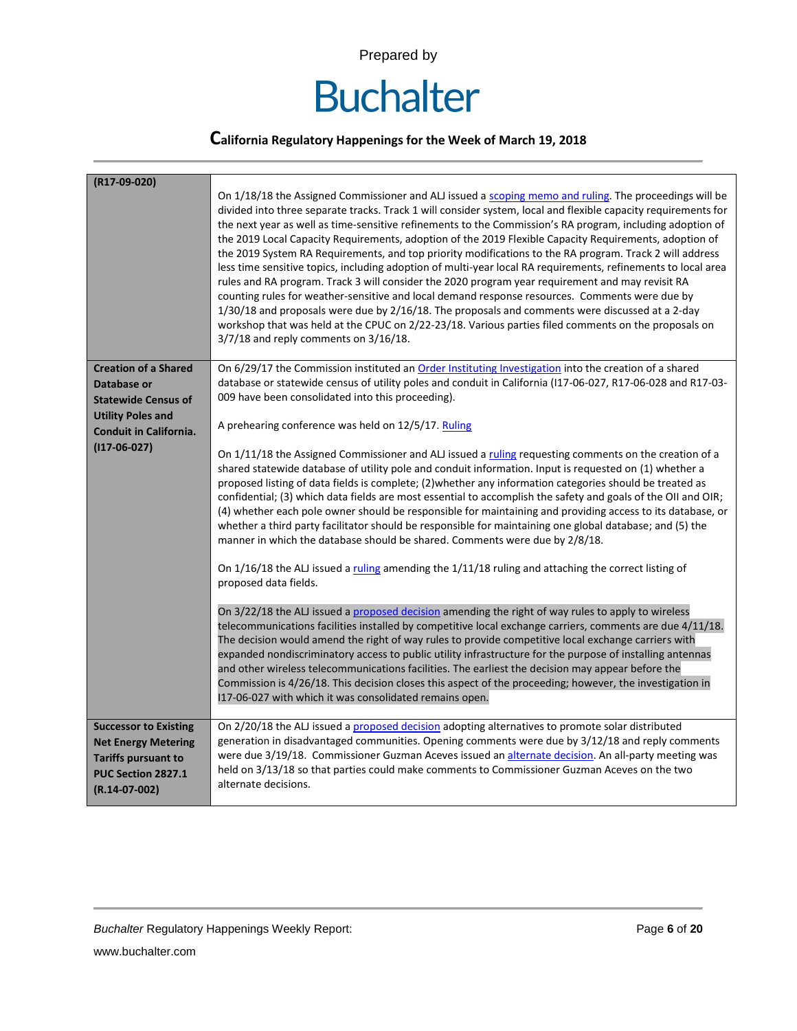

| (R17-09-020)                                                                                                                      | On 1/18/18 the Assigned Commissioner and ALJ issued a scoping memo and ruling. The proceedings will be<br>divided into three separate tracks. Track 1 will consider system, local and flexible capacity requirements for<br>the next year as well as time-sensitive refinements to the Commission's RA program, including adoption of<br>the 2019 Local Capacity Requirements, adoption of the 2019 Flexible Capacity Requirements, adoption of<br>the 2019 System RA Requirements, and top priority modifications to the RA program. Track 2 will address<br>less time sensitive topics, including adoption of multi-year local RA requirements, refinements to local area<br>rules and RA program. Track 3 will consider the 2020 program year requirement and may revisit RA<br>counting rules for weather-sensitive and local demand response resources. Comments were due by<br>$1/30/18$ and proposals were due by $2/16/18$ . The proposals and comments were discussed at a 2-day<br>workshop that was held at the CPUC on 2/22-23/18. Various parties filed comments on the proposals on<br>$3/7/18$ and reply comments on $3/16/18$ . |
|-----------------------------------------------------------------------------------------------------------------------------------|-------------------------------------------------------------------------------------------------------------------------------------------------------------------------------------------------------------------------------------------------------------------------------------------------------------------------------------------------------------------------------------------------------------------------------------------------------------------------------------------------------------------------------------------------------------------------------------------------------------------------------------------------------------------------------------------------------------------------------------------------------------------------------------------------------------------------------------------------------------------------------------------------------------------------------------------------------------------------------------------------------------------------------------------------------------------------------------------------------------------------------------------------|
| <b>Creation of a Shared</b><br>Database or<br><b>Statewide Census of</b>                                                          | On 6/29/17 the Commission instituted an Order Instituting Investigation into the creation of a shared<br>database or statewide census of utility poles and conduit in California (117-06-027, R17-06-028 and R17-03-<br>009 have been consolidated into this proceeding).                                                                                                                                                                                                                                                                                                                                                                                                                                                                                                                                                                                                                                                                                                                                                                                                                                                                       |
| <b>Utility Poles and</b><br><b>Conduit in California.</b>                                                                         | A prehearing conference was held on 12/5/17. Ruling                                                                                                                                                                                                                                                                                                                                                                                                                                                                                                                                                                                                                                                                                                                                                                                                                                                                                                                                                                                                                                                                                             |
| $(117-06-027)$                                                                                                                    | On 1/11/18 the Assigned Commissioner and ALJ issued a ruling requesting comments on the creation of a<br>shared statewide database of utility pole and conduit information. Input is requested on (1) whether a<br>proposed listing of data fields is complete; (2) whether any information categories should be treated as<br>confidential; (3) which data fields are most essential to accomplish the safety and goals of the OII and OIR;<br>(4) whether each pole owner should be responsible for maintaining and providing access to its database, or<br>whether a third party facilitator should be responsible for maintaining one global database; and (5) the<br>manner in which the database should be shared. Comments were due by 2/8/18.<br>On 1/16/18 the ALJ issued a ruling amending the 1/11/18 ruling and attaching the correct listing of<br>proposed data fields.                                                                                                                                                                                                                                                           |
|                                                                                                                                   | On 3/22/18 the ALJ issued a proposed decision amending the right of way rules to apply to wireless<br>telecommunications facilities installed by competitive local exchange carriers, comments are due 4/11/18.<br>The decision would amend the right of way rules to provide competitive local exchange carriers with<br>expanded nondiscriminatory access to public utility infrastructure for the purpose of installing antennas<br>and other wireless telecommunications facilities. The earliest the decision may appear before the<br>Commission is 4/26/18. This decision closes this aspect of the proceeding; however, the investigation in<br>I17-06-027 with which it was consolidated remains open.                                                                                                                                                                                                                                                                                                                                                                                                                                 |
| <b>Successor to Existing</b><br><b>Net Energy Metering</b><br><b>Tariffs pursuant to</b><br>PUC Section 2827.1<br>$(R.14-07-002)$ | On 2/20/18 the ALJ issued a proposed decision adopting alternatives to promote solar distributed<br>generation in disadvantaged communities. Opening comments were due by 3/12/18 and reply comments<br>were due 3/19/18. Commissioner Guzman Aceves issued an alternate decision. An all-party meeting was<br>held on 3/13/18 so that parties could make comments to Commissioner Guzman Aceves on the two<br>alternate decisions.                                                                                                                                                                                                                                                                                                                                                                                                                                                                                                                                                                                                                                                                                                             |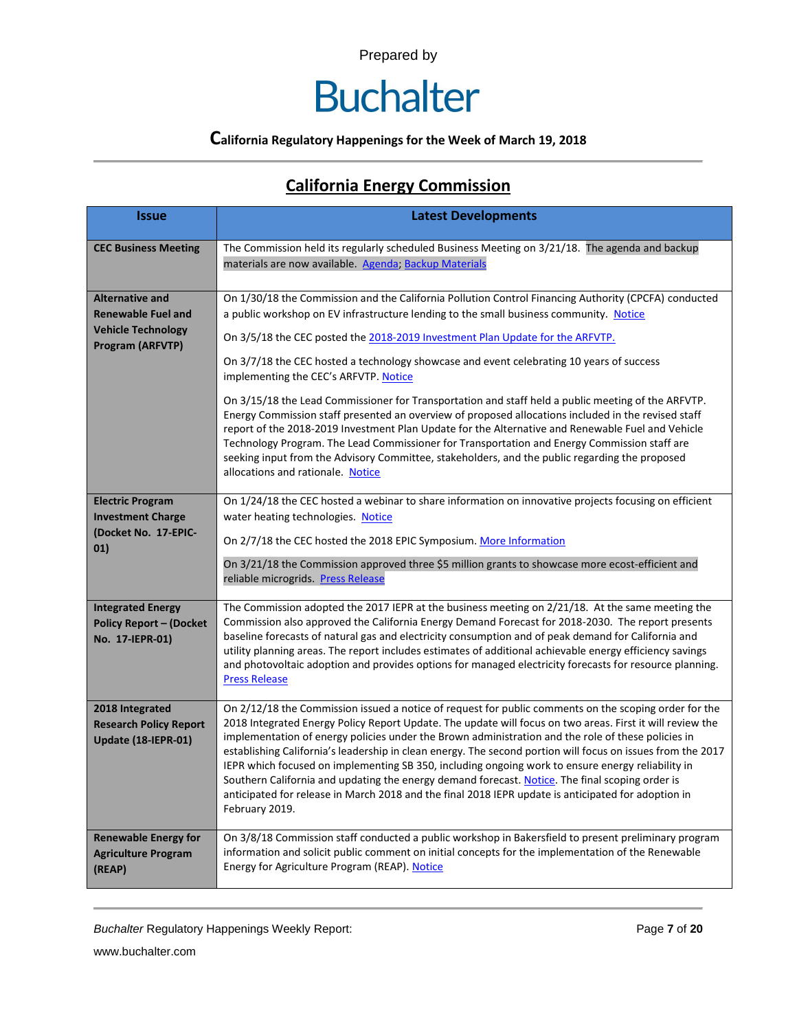### **Buchalter**

### **California Regulatory Happenings for the Week of March 19, 2018**

### **California Energy Commission**

| <b>Issue</b>                                                                                                | <b>Latest Developments</b>                                                                                                                                                                                                                                                                                                                                                                                                                                                                                                                                                                                                                                                                                                                                                                                                                                                                                                                                                    |
|-------------------------------------------------------------------------------------------------------------|-------------------------------------------------------------------------------------------------------------------------------------------------------------------------------------------------------------------------------------------------------------------------------------------------------------------------------------------------------------------------------------------------------------------------------------------------------------------------------------------------------------------------------------------------------------------------------------------------------------------------------------------------------------------------------------------------------------------------------------------------------------------------------------------------------------------------------------------------------------------------------------------------------------------------------------------------------------------------------|
| <b>CEC Business Meeting</b>                                                                                 | The Commission held its regularly scheduled Business Meeting on 3/21/18. The agenda and backup<br>materials are now available. Agenda; Backup Materials                                                                                                                                                                                                                                                                                                                                                                                                                                                                                                                                                                                                                                                                                                                                                                                                                       |
| <b>Alternative and</b><br><b>Renewable Fuel and</b><br><b>Vehicle Technology</b><br><b>Program (ARFVTP)</b> | On 1/30/18 the Commission and the California Pollution Control Financing Authority (CPCFA) conducted<br>a public workshop on EV infrastructure lending to the small business community. Notice<br>On 3/5/18 the CEC posted the 2018-2019 Investment Plan Update for the ARFVTP.<br>On 3/7/18 the CEC hosted a technology showcase and event celebrating 10 years of success<br>implementing the CEC's ARFVTP. Notice<br>On 3/15/18 the Lead Commissioner for Transportation and staff held a public meeting of the ARFVTP.<br>Energy Commission staff presented an overview of proposed allocations included in the revised staff<br>report of the 2018-2019 Investment Plan Update for the Alternative and Renewable Fuel and Vehicle<br>Technology Program. The Lead Commissioner for Transportation and Energy Commission staff are<br>seeking input from the Advisory Committee, stakeholders, and the public regarding the proposed<br>allocations and rationale. Notice |
| <b>Electric Program</b><br><b>Investment Charge</b><br>(Docket No. 17-EPIC-<br>01)                          | On 1/24/18 the CEC hosted a webinar to share information on innovative projects focusing on efficient<br>water heating technologies. Notice<br>On 2/7/18 the CEC hosted the 2018 EPIC Symposium. More Information<br>On 3/21/18 the Commission approved three \$5 million grants to showcase more ecost-efficient and<br>reliable microgrids. Press Release                                                                                                                                                                                                                                                                                                                                                                                                                                                                                                                                                                                                                   |
| <b>Integrated Energy</b><br><b>Policy Report - (Docket</b><br>No. 17-IEPR-01)                               | The Commission adopted the 2017 IEPR at the business meeting on 2/21/18. At the same meeting the<br>Commission also approved the California Energy Demand Forecast for 2018-2030. The report presents<br>baseline forecasts of natural gas and electricity consumption and of peak demand for California and<br>utility planning areas. The report includes estimates of additional achievable energy efficiency savings<br>and photovoltaic adoption and provides options for managed electricity forecasts for resource planning.<br><b>Press Release</b>                                                                                                                                                                                                                                                                                                                                                                                                                   |
| 2018 Integrated<br><b>Research Policy Report</b><br>Update (18-IEPR-01)                                     | On 2/12/18 the Commission issued a notice of request for public comments on the scoping order for the<br>2018 Integrated Energy Policy Report Update. The update will focus on two areas. First it will review the<br>implementation of energy policies under the Brown administration and the role of these policies in<br>establishing California's leadership in clean energy. The second portion will focus on issues from the 2017<br>IEPR which focused on implementing SB 350, including ongoing work to ensure energy reliability in<br>Southern California and updating the energy demand forecast. Notice. The final scoping order is<br>anticipated for release in March 2018 and the final 2018 IEPR update is anticipated for adoption in<br>February 2019.                                                                                                                                                                                                      |
| <b>Renewable Energy for</b><br><b>Agriculture Program</b><br>(REAP)                                         | On 3/8/18 Commission staff conducted a public workshop in Bakersfield to present preliminary program<br>information and solicit public comment on initial concepts for the implementation of the Renewable<br>Energy for Agriculture Program (REAP). Notice                                                                                                                                                                                                                                                                                                                                                                                                                                                                                                                                                                                                                                                                                                                   |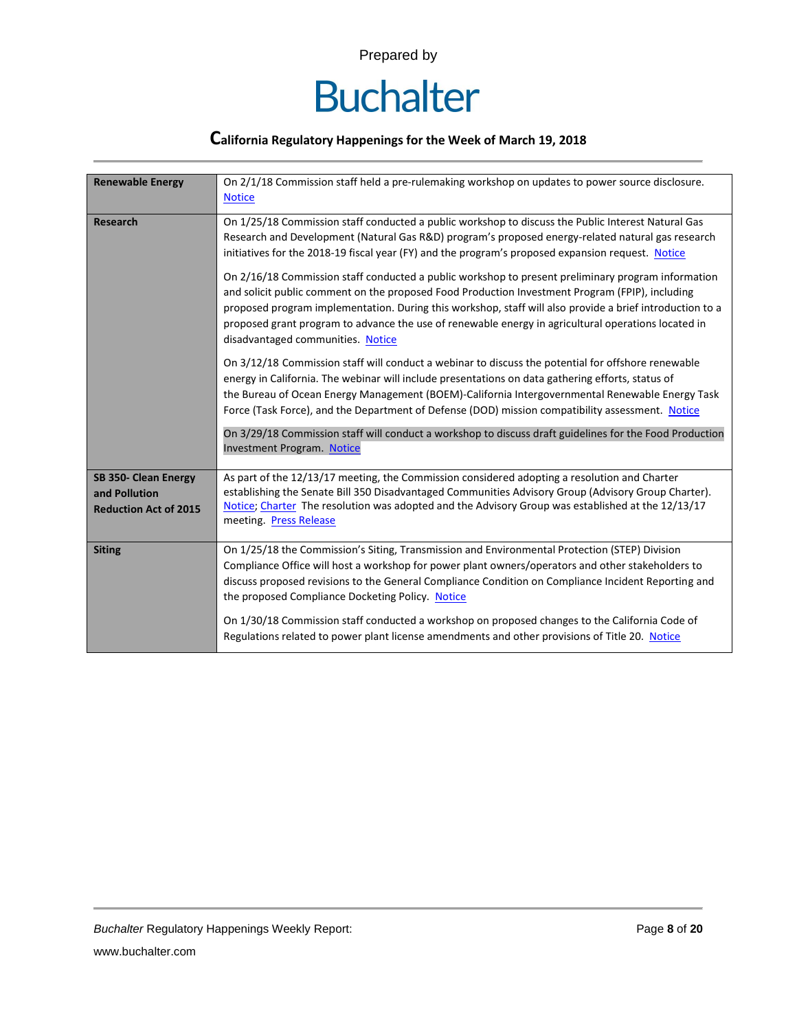

| <b>Renewable Energy</b>                                               | On 2/1/18 Commission staff held a pre-rulemaking workshop on updates to power source disclosure.<br><b>Notice</b>                                                                                                                                                                                                                                                                                                                                             |
|-----------------------------------------------------------------------|---------------------------------------------------------------------------------------------------------------------------------------------------------------------------------------------------------------------------------------------------------------------------------------------------------------------------------------------------------------------------------------------------------------------------------------------------------------|
| <b>Research</b>                                                       | On 1/25/18 Commission staff conducted a public workshop to discuss the Public Interest Natural Gas<br>Research and Development (Natural Gas R&D) program's proposed energy-related natural gas research<br>initiatives for the 2018-19 fiscal year (FY) and the program's proposed expansion request. Notice                                                                                                                                                  |
|                                                                       | On 2/16/18 Commission staff conducted a public workshop to present preliminary program information<br>and solicit public comment on the proposed Food Production Investment Program (FPIP), including<br>proposed program implementation. During this workshop, staff will also provide a brief introduction to a<br>proposed grant program to advance the use of renewable energy in agricultural operations located in<br>disadvantaged communities. Notice |
|                                                                       | On 3/12/18 Commission staff will conduct a webinar to discuss the potential for offshore renewable<br>energy in California. The webinar will include presentations on data gathering efforts, status of<br>the Bureau of Ocean Energy Management (BOEM)-California Intergovernmental Renewable Energy Task<br>Force (Task Force), and the Department of Defense (DOD) mission compatibility assessment. Notice                                                |
|                                                                       | On 3/29/18 Commission staff will conduct a workshop to discuss draft guidelines for the Food Production<br><b>Investment Program. Notice</b>                                                                                                                                                                                                                                                                                                                  |
| SB 350- Clean Energy<br>and Pollution<br><b>Reduction Act of 2015</b> | As part of the 12/13/17 meeting, the Commission considered adopting a resolution and Charter<br>establishing the Senate Bill 350 Disadvantaged Communities Advisory Group (Advisory Group Charter).<br>Notice; Charter The resolution was adopted and the Advisory Group was established at the 12/13/17<br>meeting. Press Release                                                                                                                            |
| <b>Siting</b>                                                         | On 1/25/18 the Commission's Siting, Transmission and Environmental Protection (STEP) Division<br>Compliance Office will host a workshop for power plant owners/operators and other stakeholders to<br>discuss proposed revisions to the General Compliance Condition on Compliance Incident Reporting and<br>the proposed Compliance Docketing Policy. Notice                                                                                                 |
|                                                                       | On 1/30/18 Commission staff conducted a workshop on proposed changes to the California Code of<br>Regulations related to power plant license amendments and other provisions of Title 20. Notice                                                                                                                                                                                                                                                              |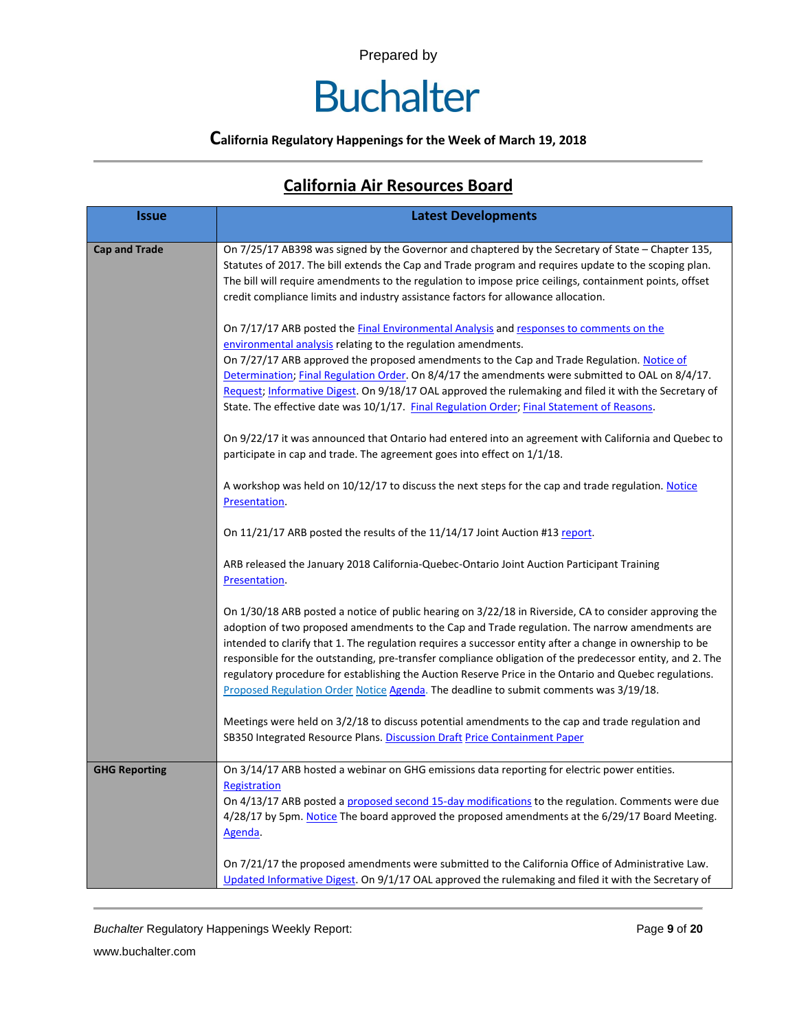### **Buchalter**

### **California Regulatory Happenings for the Week of March 19, 2018**

### **California Air Resources Board**

| <b>Issue</b>         | <b>Latest Developments</b>                                                                                                                                                                                                                                                                                                                                                                                                                                                                                                                                                                                                           |
|----------------------|--------------------------------------------------------------------------------------------------------------------------------------------------------------------------------------------------------------------------------------------------------------------------------------------------------------------------------------------------------------------------------------------------------------------------------------------------------------------------------------------------------------------------------------------------------------------------------------------------------------------------------------|
| <b>Cap and Trade</b> | On 7/25/17 AB398 was signed by the Governor and chaptered by the Secretary of State - Chapter 135,<br>Statutes of 2017. The bill extends the Cap and Trade program and requires update to the scoping plan.<br>The bill will require amendments to the regulation to impose price ceilings, containment points, offset<br>credit compliance limits and industry assistance factors for allowance allocation.                                                                                                                                                                                                                         |
|                      | On 7/17/17 ARB posted the Final Environmental Analysis and responses to comments on the<br>environmental analysis relating to the regulation amendments.<br>On 7/27/17 ARB approved the proposed amendments to the Cap and Trade Regulation. Notice of<br>Determination; Final Regulation Order. On 8/4/17 the amendments were submitted to OAL on 8/4/17.<br>Request; Informative Digest. On 9/18/17 OAL approved the rulemaking and filed it with the Secretary of<br>State. The effective date was 10/1/17. Final Regulation Order; Final Statement of Reasons.                                                                   |
|                      | On 9/22/17 it was announced that Ontario had entered into an agreement with California and Quebec to<br>participate in cap and trade. The agreement goes into effect on 1/1/18.                                                                                                                                                                                                                                                                                                                                                                                                                                                      |
|                      | A workshop was held on 10/12/17 to discuss the next steps for the cap and trade regulation. Notice<br>Presentation.                                                                                                                                                                                                                                                                                                                                                                                                                                                                                                                  |
|                      | On 11/21/17 ARB posted the results of the 11/14/17 Joint Auction #13 report.                                                                                                                                                                                                                                                                                                                                                                                                                                                                                                                                                         |
|                      | ARB released the January 2018 California-Quebec-Ontario Joint Auction Participant Training<br>Presentation.                                                                                                                                                                                                                                                                                                                                                                                                                                                                                                                          |
|                      | On 1/30/18 ARB posted a notice of public hearing on 3/22/18 in Riverside, CA to consider approving the<br>adoption of two proposed amendments to the Cap and Trade regulation. The narrow amendments are<br>intended to clarify that 1. The regulation requires a successor entity after a change in ownership to be<br>responsible for the outstanding, pre-transfer compliance obligation of the predecessor entity, and 2. The<br>regulatory procedure for establishing the Auction Reserve Price in the Ontario and Quebec regulations.<br>Proposed Regulation Order Notice Agenda. The deadline to submit comments was 3/19/18. |
|                      | Meetings were held on 3/2/18 to discuss potential amendments to the cap and trade regulation and<br>SB350 Integrated Resource Plans. Discussion Draft Price Containment Paper                                                                                                                                                                                                                                                                                                                                                                                                                                                        |
| <b>GHG Reporting</b> | On 3/14/17 ARB hosted a webinar on GHG emissions data reporting for electric power entities.<br>Registration<br>On 4/13/17 ARB posted a proposed second 15-day modifications to the regulation. Comments were due<br>4/28/17 by 5pm. Notice The board approved the proposed amendments at the 6/29/17 Board Meeting.<br>Agenda.                                                                                                                                                                                                                                                                                                      |
|                      | On 7/21/17 the proposed amendments were submitted to the California Office of Administrative Law.<br>Updated Informative Digest. On 9/1/17 OAL approved the rulemaking and filed it with the Secretary of                                                                                                                                                                                                                                                                                                                                                                                                                            |

**Buchalter Regulatory Happenings Weekly Report:** Page 9 of 20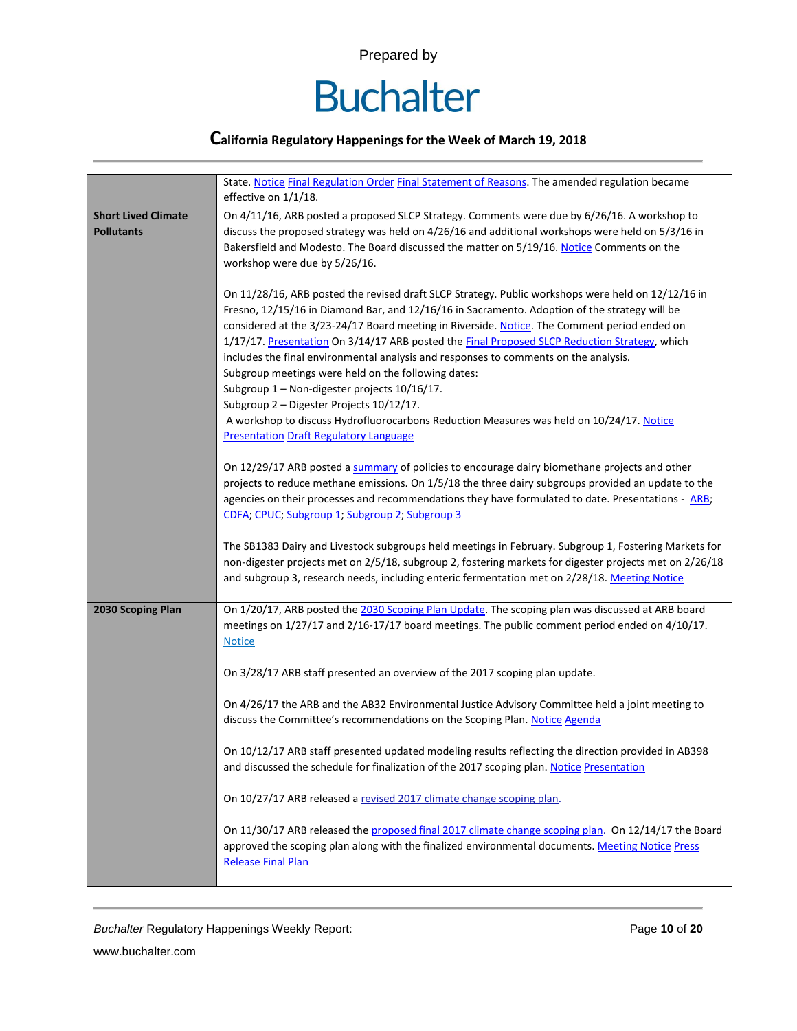

|                                                 | State. Notice Final Regulation Order Final Statement of Reasons. The amended regulation became<br>effective on 1/1/18.                                                                                                                                                                                                                                                                                                                                                                                                                                                                                                                                                                                                                                                                       |
|-------------------------------------------------|----------------------------------------------------------------------------------------------------------------------------------------------------------------------------------------------------------------------------------------------------------------------------------------------------------------------------------------------------------------------------------------------------------------------------------------------------------------------------------------------------------------------------------------------------------------------------------------------------------------------------------------------------------------------------------------------------------------------------------------------------------------------------------------------|
| <b>Short Lived Climate</b><br><b>Pollutants</b> | On 4/11/16, ARB posted a proposed SLCP Strategy. Comments were due by 6/26/16. A workshop to<br>discuss the proposed strategy was held on 4/26/16 and additional workshops were held on 5/3/16 in<br>Bakersfield and Modesto. The Board discussed the matter on 5/19/16. Notice Comments on the<br>workshop were due by 5/26/16.                                                                                                                                                                                                                                                                                                                                                                                                                                                             |
|                                                 | On 11/28/16, ARB posted the revised draft SLCP Strategy. Public workshops were held on 12/12/16 in<br>Fresno, 12/15/16 in Diamond Bar, and 12/16/16 in Sacramento. Adoption of the strategy will be<br>considered at the 3/23-24/17 Board meeting in Riverside. Notice. The Comment period ended on<br>1/17/17. Presentation On 3/14/17 ARB posted the Final Proposed SLCP Reduction Strategy, which<br>includes the final environmental analysis and responses to comments on the analysis.<br>Subgroup meetings were held on the following dates:<br>Subgroup 1 - Non-digester projects 10/16/17.<br>Subgroup 2 - Digester Projects 10/12/17.<br>A workshop to discuss Hydrofluorocarbons Reduction Measures was held on 10/24/17. Notice<br><b>Presentation Draft Regulatory Language</b> |
|                                                 | On 12/29/17 ARB posted a summary of policies to encourage dairy biomethane projects and other<br>projects to reduce methane emissions. On 1/5/18 the three dairy subgroups provided an update to the<br>agencies on their processes and recommendations they have formulated to date. Presentations - ARB;<br>CDFA; CPUC; Subgroup 1; Subgroup 2; Subgroup 3                                                                                                                                                                                                                                                                                                                                                                                                                                 |
|                                                 | The SB1383 Dairy and Livestock subgroups held meetings in February. Subgroup 1, Fostering Markets for<br>non-digester projects met on 2/5/18, subgroup 2, fostering markets for digester projects met on 2/26/18<br>and subgroup 3, research needs, including enteric fermentation met on 2/28/18. Meeting Notice                                                                                                                                                                                                                                                                                                                                                                                                                                                                            |
| 2030 Scoping Plan                               | On 1/20/17, ARB posted the 2030 Scoping Plan Update. The scoping plan was discussed at ARB board<br>meetings on 1/27/17 and 2/16-17/17 board meetings. The public comment period ended on 4/10/17.<br><b>Notice</b>                                                                                                                                                                                                                                                                                                                                                                                                                                                                                                                                                                          |
|                                                 | On 3/28/17 ARB staff presented an overview of the 2017 scoping plan update.                                                                                                                                                                                                                                                                                                                                                                                                                                                                                                                                                                                                                                                                                                                  |
|                                                 | On 4/26/17 the ARB and the AB32 Environmental Justice Advisory Committee held a joint meeting to<br>discuss the Committee's recommendations on the Scoping Plan. Notice Agenda                                                                                                                                                                                                                                                                                                                                                                                                                                                                                                                                                                                                               |
|                                                 | On 10/12/17 ARB staff presented updated modeling results reflecting the direction provided in AB398<br>and discussed the schedule for finalization of the 2017 scoping plan. Notice Presentation                                                                                                                                                                                                                                                                                                                                                                                                                                                                                                                                                                                             |
|                                                 | On 10/27/17 ARB released a revised 2017 climate change scoping plan.                                                                                                                                                                                                                                                                                                                                                                                                                                                                                                                                                                                                                                                                                                                         |
|                                                 | On 11/30/17 ARB released the proposed final 2017 climate change scoping plan. On 12/14/17 the Board<br>approved the scoping plan along with the finalized environmental documents. Meeting Notice Press<br><b>Release Final Plan</b>                                                                                                                                                                                                                                                                                                                                                                                                                                                                                                                                                         |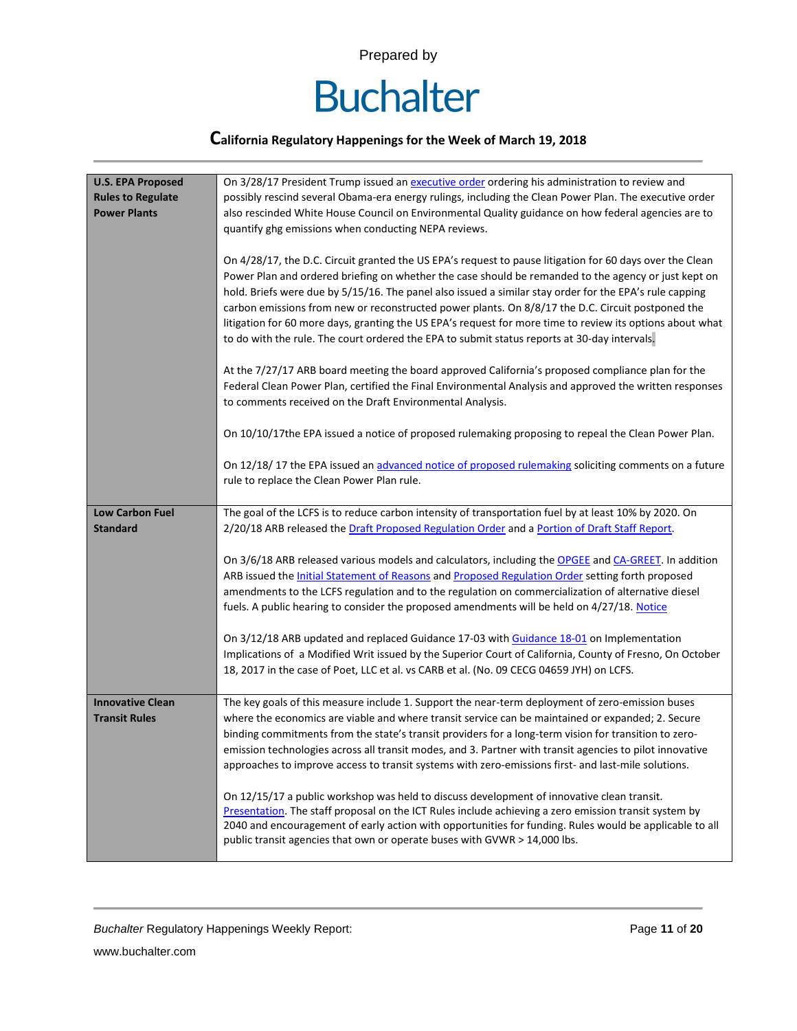

| <b>U.S. EPA Proposed</b> | On 3/28/17 President Trump issued an executive order ordering his administration to review and                 |
|--------------------------|----------------------------------------------------------------------------------------------------------------|
| <b>Rules to Regulate</b> | possibly rescind several Obama-era energy rulings, including the Clean Power Plan. The executive order         |
| <b>Power Plants</b>      | also rescinded White House Council on Environmental Quality guidance on how federal agencies are to            |
|                          | quantify ghg emissions when conducting NEPA reviews.                                                           |
|                          |                                                                                                                |
|                          | On 4/28/17, the D.C. Circuit granted the US EPA's request to pause litigation for 60 days over the Clean       |
|                          | Power Plan and ordered briefing on whether the case should be remanded to the agency or just kept on           |
|                          | hold. Briefs were due by 5/15/16. The panel also issued a similar stay order for the EPA's rule capping        |
|                          | carbon emissions from new or reconstructed power plants. On 8/8/17 the D.C. Circuit postponed the              |
|                          | litigation for 60 more days, granting the US EPA's request for more time to review its options about what      |
|                          | to do with the rule. The court ordered the EPA to submit status reports at 30-day intervals.                   |
|                          | At the 7/27/17 ARB board meeting the board approved California's proposed compliance plan for the              |
|                          | Federal Clean Power Plan, certified the Final Environmental Analysis and approved the written responses        |
|                          | to comments received on the Draft Environmental Analysis.                                                      |
|                          |                                                                                                                |
|                          | On 10/10/17the EPA issued a notice of proposed rulemaking proposing to repeal the Clean Power Plan.            |
|                          | On 12/18/17 the EPA issued an advanced notice of proposed rulemaking soliciting comments on a future           |
|                          | rule to replace the Clean Power Plan rule.                                                                     |
|                          |                                                                                                                |
| Low Carbon Fuel          | The goal of the LCFS is to reduce carbon intensity of transportation fuel by at least 10% by 2020. On          |
| <b>Standard</b>          | 2/20/18 ARB released the Draft Proposed Regulation Order and a Portion of Draft Staff Report.                  |
|                          | On 3/6/18 ARB released various models and calculators, including the OPGEE and CA-GREET. In addition           |
|                          | ARB issued the <b>Initial Statement of Reasons</b> and <b>Proposed Regulation Order setting forth proposed</b> |
|                          | amendments to the LCFS regulation and to the regulation on commercialization of alternative diesel             |
|                          | fuels. A public hearing to consider the proposed amendments will be held on 4/27/18. Notice                    |
|                          |                                                                                                                |
|                          | On 3/12/18 ARB updated and replaced Guidance 17-03 with Guidance 18-01 on Implementation                       |
|                          | Implications of a Modified Writ issued by the Superior Court of California, County of Fresno, On October       |
|                          | 18, 2017 in the case of Poet, LLC et al. vs CARB et al. (No. 09 CECG 04659 JYH) on LCFS.                       |
| <b>Innovative Clean</b>  | The key goals of this measure include 1. Support the near-term deployment of zero-emission buses               |
| <b>Transit Rules</b>     | where the economics are viable and where transit service can be maintained or expanded; 2. Secure              |
|                          | binding commitments from the state's transit providers for a long-term vision for transition to zero-          |
|                          | emission technologies across all transit modes, and 3. Partner with transit agencies to pilot innovative       |
|                          | approaches to improve access to transit systems with zero-emissions first- and last-mile solutions.            |
|                          | On 12/15/17 a public workshop was held to discuss development of innovative clean transit.                     |
|                          | Presentation. The staff proposal on the ICT Rules include achieving a zero emission transit system by          |
|                          | 2040 and encouragement of early action with opportunities for funding. Rules would be applicable to all        |
|                          | public transit agencies that own or operate buses with GVWR > 14,000 lbs.                                      |
|                          |                                                                                                                |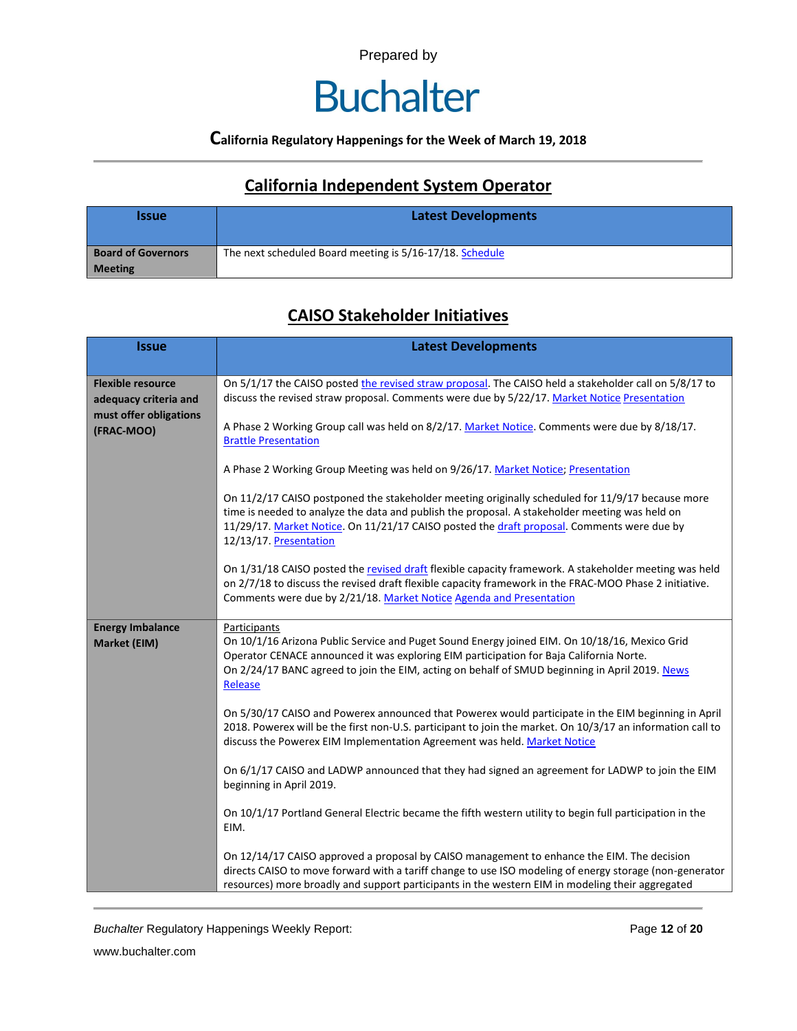### **Buchalter**

### **California Regulatory Happenings for the Week of March 19, 2018**

### **California Independent System Operator**

| <b>Issue</b>              | <b>Latest Developments</b>                               |
|---------------------------|----------------------------------------------------------|
| <b>Board of Governors</b> | The next scheduled Board meeting is 5/16-17/18. Schedule |
| <b>Meeting</b>            |                                                          |

### **CAISO Stakeholder Initiatives**

| <b>Issue</b>                                      | <b>Latest Developments</b>                                                                                                                                                                                                                                                                                                 |  |  |  |  |
|---------------------------------------------------|----------------------------------------------------------------------------------------------------------------------------------------------------------------------------------------------------------------------------------------------------------------------------------------------------------------------------|--|--|--|--|
| <b>Flexible resource</b><br>adequacy criteria and | On 5/1/17 the CAISO posted the revised straw proposal. The CAISO held a stakeholder call on 5/8/17 to<br>discuss the revised straw proposal. Comments were due by 5/22/17. Market Notice Presentation                                                                                                                      |  |  |  |  |
| must offer obligations<br>(FRAC-MOO)              | A Phase 2 Working Group call was held on 8/2/17. Market Notice. Comments were due by 8/18/17.<br><b>Brattle Presentation</b>                                                                                                                                                                                               |  |  |  |  |
|                                                   | A Phase 2 Working Group Meeting was held on 9/26/17. Market Notice; Presentation                                                                                                                                                                                                                                           |  |  |  |  |
|                                                   | On 11/2/17 CAISO postponed the stakeholder meeting originally scheduled for 11/9/17 because more<br>time is needed to analyze the data and publish the proposal. A stakeholder meeting was held on<br>11/29/17. Market Notice. On 11/21/17 CAISO posted the draft proposal. Comments were due by<br>12/13/17. Presentation |  |  |  |  |
|                                                   | On 1/31/18 CAISO posted the revised draft flexible capacity framework. A stakeholder meeting was held<br>on 2/7/18 to discuss the revised draft flexible capacity framework in the FRAC-MOO Phase 2 initiative.<br>Comments were due by 2/21/18. Market Notice Agenda and Presentation                                     |  |  |  |  |
| <b>Energy Imbalance</b><br>Market (EIM)           | Participants<br>On 10/1/16 Arizona Public Service and Puget Sound Energy joined EIM. On 10/18/16, Mexico Grid<br>Operator CENACE announced it was exploring EIM participation for Baja California Norte.<br>On 2/24/17 BANC agreed to join the EIM, acting on behalf of SMUD beginning in April 2019. News<br>Release      |  |  |  |  |
|                                                   | On 5/30/17 CAISO and Powerex announced that Powerex would participate in the EIM beginning in April<br>2018. Powerex will be the first non-U.S. participant to join the market. On 10/3/17 an information call to<br>discuss the Powerex EIM Implementation Agreement was held. Market Notice                              |  |  |  |  |
|                                                   | On 6/1/17 CAISO and LADWP announced that they had signed an agreement for LADWP to join the EIM<br>beginning in April 2019.                                                                                                                                                                                                |  |  |  |  |
|                                                   | On 10/1/17 Portland General Electric became the fifth western utility to begin full participation in the<br>EIM.                                                                                                                                                                                                           |  |  |  |  |
|                                                   | On 12/14/17 CAISO approved a proposal by CAISO management to enhance the EIM. The decision<br>directs CAISO to move forward with a tariff change to use ISO modeling of energy storage (non-generator<br>resources) more broadly and support participants in the western EIM in modeling their aggregated                  |  |  |  |  |

*Buchalter* Regulatory Happenings Weekly Report: Page **12** of **20**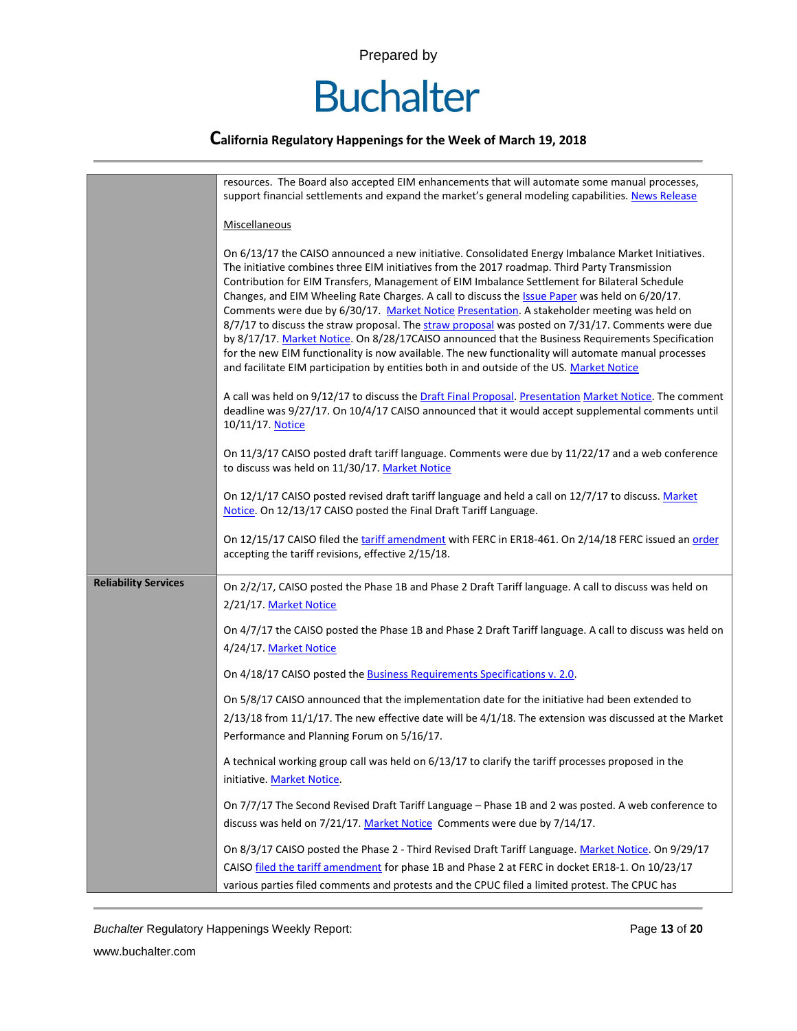

|                             | resources. The Board also accepted EIM enhancements that will automate some manual processes,<br>support financial settlements and expand the market's general modeling capabilities. News Release                                                                                                                                                                                                                                                                                                                                                                                                                                                                                                                                                                                                                                                                                                                   |  |  |  |  |  |
|-----------------------------|----------------------------------------------------------------------------------------------------------------------------------------------------------------------------------------------------------------------------------------------------------------------------------------------------------------------------------------------------------------------------------------------------------------------------------------------------------------------------------------------------------------------------------------------------------------------------------------------------------------------------------------------------------------------------------------------------------------------------------------------------------------------------------------------------------------------------------------------------------------------------------------------------------------------|--|--|--|--|--|
|                             | Miscellaneous                                                                                                                                                                                                                                                                                                                                                                                                                                                                                                                                                                                                                                                                                                                                                                                                                                                                                                        |  |  |  |  |  |
|                             | On 6/13/17 the CAISO announced a new initiative. Consolidated Energy Imbalance Market Initiatives.<br>The initiative combines three EIM initiatives from the 2017 roadmap. Third Party Transmission<br>Contribution for EIM Transfers, Management of EIM Imbalance Settlement for Bilateral Schedule<br>Changes, and EIM Wheeling Rate Charges. A call to discuss the Issue Paper was held on 6/20/17.<br>Comments were due by 6/30/17. Market Notice Presentation. A stakeholder meeting was held on<br>8/7/17 to discuss the straw proposal. The straw proposal was posted on 7/31/17. Comments were due<br>by 8/17/17. Market Notice. On 8/28/17CAISO announced that the Business Requirements Specification<br>for the new EIM functionality is now available. The new functionality will automate manual processes<br>and facilitate EIM participation by entities both in and outside of the US. Market Notice |  |  |  |  |  |
|                             | A call was held on 9/12/17 to discuss the Draft Final Proposal. Presentation Market Notice. The comment<br>deadline was 9/27/17. On 10/4/17 CAISO announced that it would accept supplemental comments until<br>10/11/17. Notice                                                                                                                                                                                                                                                                                                                                                                                                                                                                                                                                                                                                                                                                                     |  |  |  |  |  |
|                             | On 11/3/17 CAISO posted draft tariff language. Comments were due by 11/22/17 and a web conference<br>to discuss was held on 11/30/17. Market Notice                                                                                                                                                                                                                                                                                                                                                                                                                                                                                                                                                                                                                                                                                                                                                                  |  |  |  |  |  |
|                             | On 12/1/17 CAISO posted revised draft tariff language and held a call on 12/7/17 to discuss. Market<br>Notice. On 12/13/17 CAISO posted the Final Draft Tariff Language.                                                                                                                                                                                                                                                                                                                                                                                                                                                                                                                                                                                                                                                                                                                                             |  |  |  |  |  |
|                             | On 12/15/17 CAISO filed the tariff amendment with FERC in ER18-461. On 2/14/18 FERC issued an order<br>accepting the tariff revisions, effective 2/15/18.                                                                                                                                                                                                                                                                                                                                                                                                                                                                                                                                                                                                                                                                                                                                                            |  |  |  |  |  |
| <b>Reliability Services</b> | On 2/2/17, CAISO posted the Phase 1B and Phase 2 Draft Tariff language. A call to discuss was held on<br>2/21/17. Market Notice                                                                                                                                                                                                                                                                                                                                                                                                                                                                                                                                                                                                                                                                                                                                                                                      |  |  |  |  |  |
|                             | On 4/7/17 the CAISO posted the Phase 1B and Phase 2 Draft Tariff language. A call to discuss was held on<br>4/24/17. Market Notice                                                                                                                                                                                                                                                                                                                                                                                                                                                                                                                                                                                                                                                                                                                                                                                   |  |  |  |  |  |
|                             | On 4/18/17 CAISO posted the <b>Business Requirements Specifications v. 2.0</b> .                                                                                                                                                                                                                                                                                                                                                                                                                                                                                                                                                                                                                                                                                                                                                                                                                                     |  |  |  |  |  |
|                             | On 5/8/17 CAISO announced that the implementation date for the initiative had been extended to<br>$2/13/18$ from 11/1/17. The new effective date will be $4/1/18$ . The extension was discussed at the Market<br>Performance and Planning Forum on 5/16/17.                                                                                                                                                                                                                                                                                                                                                                                                                                                                                                                                                                                                                                                          |  |  |  |  |  |
|                             | A technical working group call was held on 6/13/17 to clarify the tariff processes proposed in the<br>initiative. Market Notice.                                                                                                                                                                                                                                                                                                                                                                                                                                                                                                                                                                                                                                                                                                                                                                                     |  |  |  |  |  |
|                             | On 7/7/17 The Second Revised Draft Tariff Language - Phase 1B and 2 was posted. A web conference to<br>discuss was held on 7/21/17. Market Notice Comments were due by 7/14/17.                                                                                                                                                                                                                                                                                                                                                                                                                                                                                                                                                                                                                                                                                                                                      |  |  |  |  |  |
|                             | On 8/3/17 CAISO posted the Phase 2 - Third Revised Draft Tariff Language. Market Notice. On 9/29/17<br>CAISO filed the tariff amendment for phase 1B and Phase 2 at FERC in docket ER18-1. On 10/23/17<br>various parties filed comments and protests and the CPUC filed a limited protest. The CPUC has                                                                                                                                                                                                                                                                                                                                                                                                                                                                                                                                                                                                             |  |  |  |  |  |

*Buchalter* Regulatory Happenings Weekly Report: Page **13** of **20**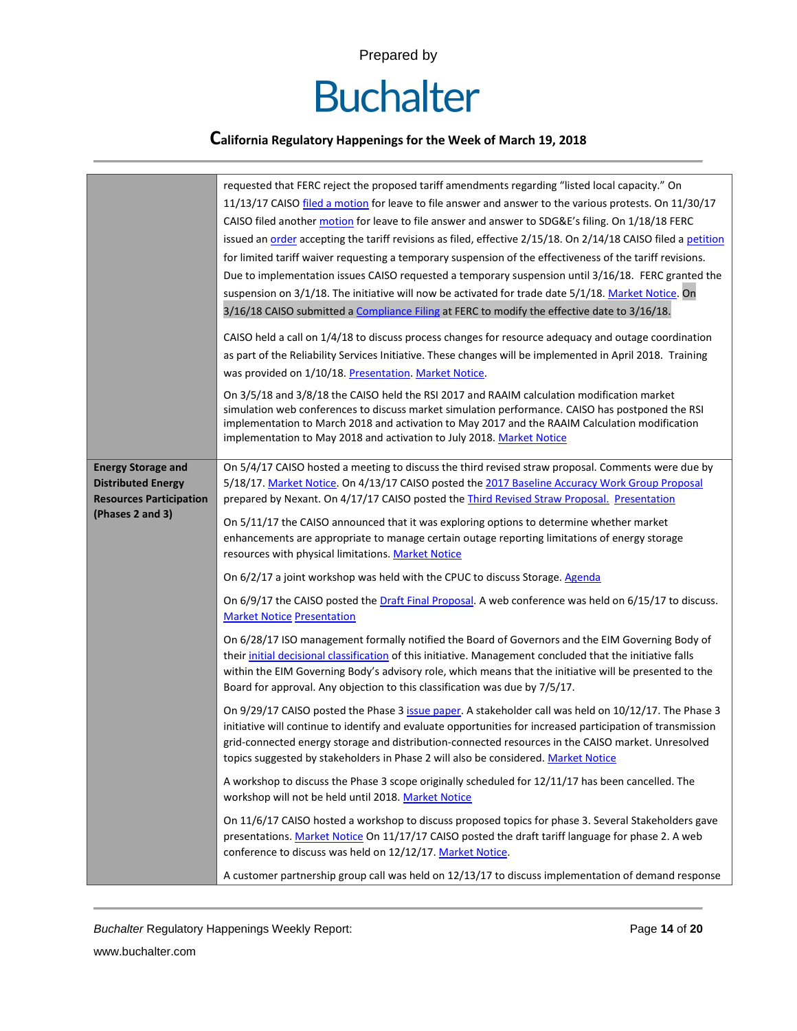

|                                                                                                              | requested that FERC reject the proposed tariff amendments regarding "listed local capacity." On<br>11/13/17 CAISO filed a motion for leave to file answer and answer to the various protests. On 11/30/17<br>CAISO filed another motion for leave to file answer and answer to SDG&E's filing. On 1/18/18 FERC<br>issued an order accepting the tariff revisions as filed, effective 2/15/18. On 2/14/18 CAISO filed a petition<br>for limited tariff waiver requesting a temporary suspension of the effectiveness of the tariff revisions.<br>Due to implementation issues CAISO requested a temporary suspension until 3/16/18. FERC granted the<br>suspension on 3/1/18. The initiative will now be activated for trade date 5/1/18. Market Notice. On<br>3/16/18 CAISO submitted a Compliance Filing at FERC to modify the effective date to 3/16/18.<br>CAISO held a call on 1/4/18 to discuss process changes for resource adequacy and outage coordination<br>as part of the Reliability Services Initiative. These changes will be implemented in April 2018. Training<br>was provided on 1/10/18. Presentation. Market Notice.<br>On 3/5/18 and 3/8/18 the CAISO held the RSI 2017 and RAAIM calculation modification market<br>simulation web conferences to discuss market simulation performance. CAISO has postponed the RSI<br>implementation to March 2018 and activation to May 2017 and the RAAIM Calculation modification<br>implementation to May 2018 and activation to July 2018. Market Notice                                                                                                                                                                                                                                                                                                                                                                                                                                                                                                                                                                                                                                              |
|--------------------------------------------------------------------------------------------------------------|--------------------------------------------------------------------------------------------------------------------------------------------------------------------------------------------------------------------------------------------------------------------------------------------------------------------------------------------------------------------------------------------------------------------------------------------------------------------------------------------------------------------------------------------------------------------------------------------------------------------------------------------------------------------------------------------------------------------------------------------------------------------------------------------------------------------------------------------------------------------------------------------------------------------------------------------------------------------------------------------------------------------------------------------------------------------------------------------------------------------------------------------------------------------------------------------------------------------------------------------------------------------------------------------------------------------------------------------------------------------------------------------------------------------------------------------------------------------------------------------------------------------------------------------------------------------------------------------------------------------------------------------------------------------------------------------------------------------------------------------------------------------------------------------------------------------------------------------------------------------------------------------------------------------------------------------------------------------------------------------------------------------------------------------------------------------------------------------------------------------------------------------------------------------|
| <b>Energy Storage and</b><br><b>Distributed Energy</b><br><b>Resources Participation</b><br>(Phases 2 and 3) | On 5/4/17 CAISO hosted a meeting to discuss the third revised straw proposal. Comments were due by<br>5/18/17. Market Notice. On 4/13/17 CAISO posted the 2017 Baseline Accuracy Work Group Proposal<br>prepared by Nexant. On 4/17/17 CAISO posted the Third Revised Straw Proposal. Presentation<br>On 5/11/17 the CAISO announced that it was exploring options to determine whether market<br>enhancements are appropriate to manage certain outage reporting limitations of energy storage<br>resources with physical limitations. Market Notice<br>On 6/2/17 a joint workshop was held with the CPUC to discuss Storage. Agenda<br>On 6/9/17 the CAISO posted the Draft Final Proposal. A web conference was held on 6/15/17 to discuss.<br><b>Market Notice Presentation</b><br>On 6/28/17 ISO management formally notified the Board of Governors and the EIM Governing Body of<br>their initial decisional classification of this initiative. Management concluded that the initiative falls<br>within the EIM Governing Body's advisory role, which means that the initiative will be presented to the<br>Board for approval. Any objection to this classification was due by 7/5/17.<br>On 9/29/17 CAISO posted the Phase 3 issue paper. A stakeholder call was held on 10/12/17. The Phase 3<br>initiative will continue to identify and evaluate opportunities for increased participation of transmission<br>grid-connected energy storage and distribution-connected resources in the CAISO market. Unresolved<br>topics suggested by stakeholders in Phase 2 will also be considered. Market Notice<br>A workshop to discuss the Phase 3 scope originally scheduled for 12/11/17 has been cancelled. The<br>workshop will not be held until 2018. Market Notice<br>On 11/6/17 CAISO hosted a workshop to discuss proposed topics for phase 3. Several Stakeholders gave<br>presentations. Market Notice On 11/17/17 CAISO posted the draft tariff language for phase 2. A web<br>conference to discuss was held on 12/12/17. Market Notice.<br>A customer partnership group call was held on 12/13/17 to discuss implementation of demand response |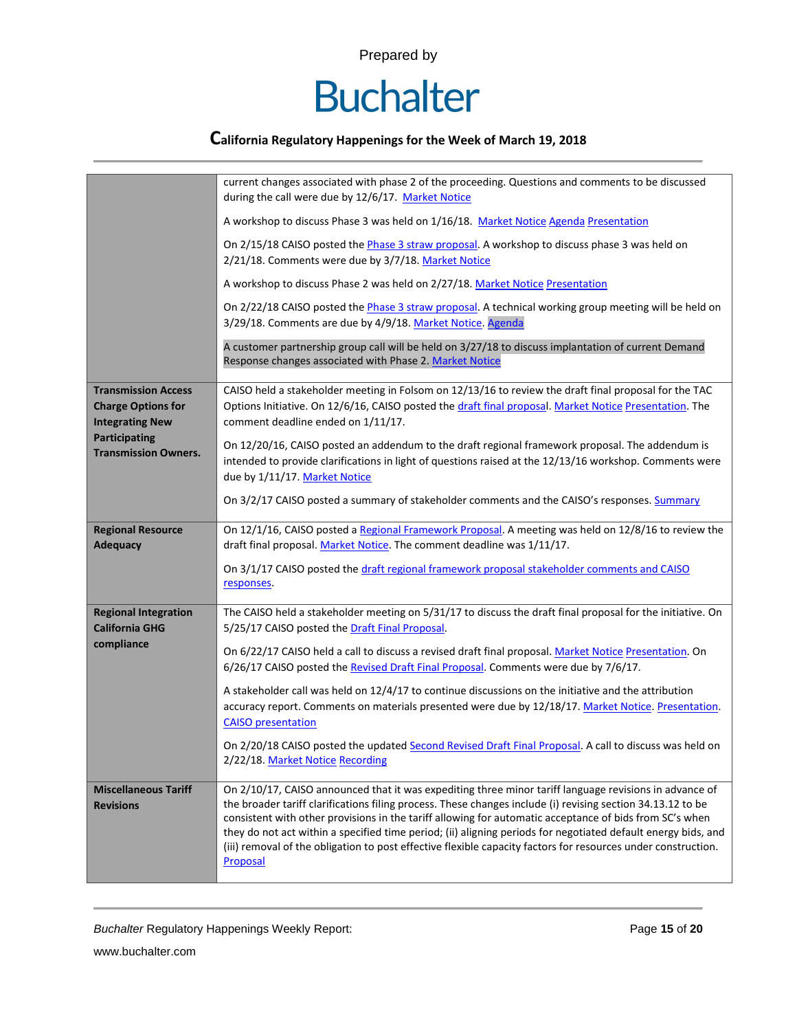

|                                                                                   | current changes associated with phase 2 of the proceeding. Questions and comments to be discussed<br>during the call were due by 12/6/17. Market Notice                                                                                                                                                                                                                                                                                                                                                                                                                        |  |  |  |
|-----------------------------------------------------------------------------------|--------------------------------------------------------------------------------------------------------------------------------------------------------------------------------------------------------------------------------------------------------------------------------------------------------------------------------------------------------------------------------------------------------------------------------------------------------------------------------------------------------------------------------------------------------------------------------|--|--|--|
|                                                                                   | A workshop to discuss Phase 3 was held on 1/16/18. Market Notice Agenda Presentation                                                                                                                                                                                                                                                                                                                                                                                                                                                                                           |  |  |  |
|                                                                                   | On 2/15/18 CAISO posted the <i>Phase 3 straw proposal</i> . A workshop to discuss phase 3 was held on<br>2/21/18. Comments were due by 3/7/18. Market Notice                                                                                                                                                                                                                                                                                                                                                                                                                   |  |  |  |
|                                                                                   | A workshop to discuss Phase 2 was held on 2/27/18. Market Notice Presentation                                                                                                                                                                                                                                                                                                                                                                                                                                                                                                  |  |  |  |
|                                                                                   | On 2/22/18 CAISO posted the Phase 3 straw proposal. A technical working group meeting will be held on<br>3/29/18. Comments are due by 4/9/18. Market Notice. Agenda                                                                                                                                                                                                                                                                                                                                                                                                            |  |  |  |
|                                                                                   | A customer partnership group call will be held on 3/27/18 to discuss implantation of current Demand<br>Response changes associated with Phase 2. Market Notice                                                                                                                                                                                                                                                                                                                                                                                                                 |  |  |  |
| <b>Transmission Access</b><br><b>Charge Options for</b><br><b>Integrating New</b> | CAISO held a stakeholder meeting in Folsom on 12/13/16 to review the draft final proposal for the TAC<br>Options Initiative. On 12/6/16, CAISO posted the draft final proposal. Market Notice Presentation. The<br>comment deadline ended on 1/11/17.                                                                                                                                                                                                                                                                                                                          |  |  |  |
| <b>Participating</b><br><b>Transmission Owners.</b>                               | On 12/20/16, CAISO posted an addendum to the draft regional framework proposal. The addendum is<br>intended to provide clarifications in light of questions raised at the 12/13/16 workshop. Comments were<br>due by 1/11/17. Market Notice                                                                                                                                                                                                                                                                                                                                    |  |  |  |
|                                                                                   | On 3/2/17 CAISO posted a summary of stakeholder comments and the CAISO's responses. Summary                                                                                                                                                                                                                                                                                                                                                                                                                                                                                    |  |  |  |
| <b>Regional Resource</b><br><b>Adequacy</b>                                       | On 12/1/16, CAISO posted a Regional Framework Proposal. A meeting was held on 12/8/16 to review the<br>draft final proposal. Market Notice. The comment deadline was 1/11/17.                                                                                                                                                                                                                                                                                                                                                                                                  |  |  |  |
|                                                                                   | On 3/1/17 CAISO posted the draft regional framework proposal stakeholder comments and CAISO<br>responses.                                                                                                                                                                                                                                                                                                                                                                                                                                                                      |  |  |  |
| <b>Regional Integration</b><br><b>California GHG</b>                              | The CAISO held a stakeholder meeting on 5/31/17 to discuss the draft final proposal for the initiative. On<br>5/25/17 CAISO posted the Draft Final Proposal.                                                                                                                                                                                                                                                                                                                                                                                                                   |  |  |  |
| compliance                                                                        | On 6/22/17 CAISO held a call to discuss a revised draft final proposal. Market Notice Presentation. On<br>6/26/17 CAISO posted the Revised Draft Final Proposal. Comments were due by 7/6/17.                                                                                                                                                                                                                                                                                                                                                                                  |  |  |  |
|                                                                                   | A stakeholder call was held on 12/4/17 to continue discussions on the initiative and the attribution<br>accuracy report. Comments on materials presented were due by 12/18/17. Market Notice. Presentation.<br><b>CAISO</b> presentation                                                                                                                                                                                                                                                                                                                                       |  |  |  |
|                                                                                   | On 2/20/18 CAISO posted the updated Second Revised Draft Final Proposal. A call to discuss was held on<br>2/22/18. Market Notice Recording                                                                                                                                                                                                                                                                                                                                                                                                                                     |  |  |  |
| <b>Miscellaneous Tariff</b><br><b>Revisions</b>                                   | On 2/10/17, CAISO announced that it was expediting three minor tariff language revisions in advance of<br>the broader tariff clarifications filing process. These changes include (i) revising section 34.13.12 to be<br>consistent with other provisions in the tariff allowing for automatic acceptance of bids from SC's when<br>they do not act within a specified time period; (ii) aligning periods for negotiated default energy bids, and<br>(iii) removal of the obligation to post effective flexible capacity factors for resources under construction.<br>Proposal |  |  |  |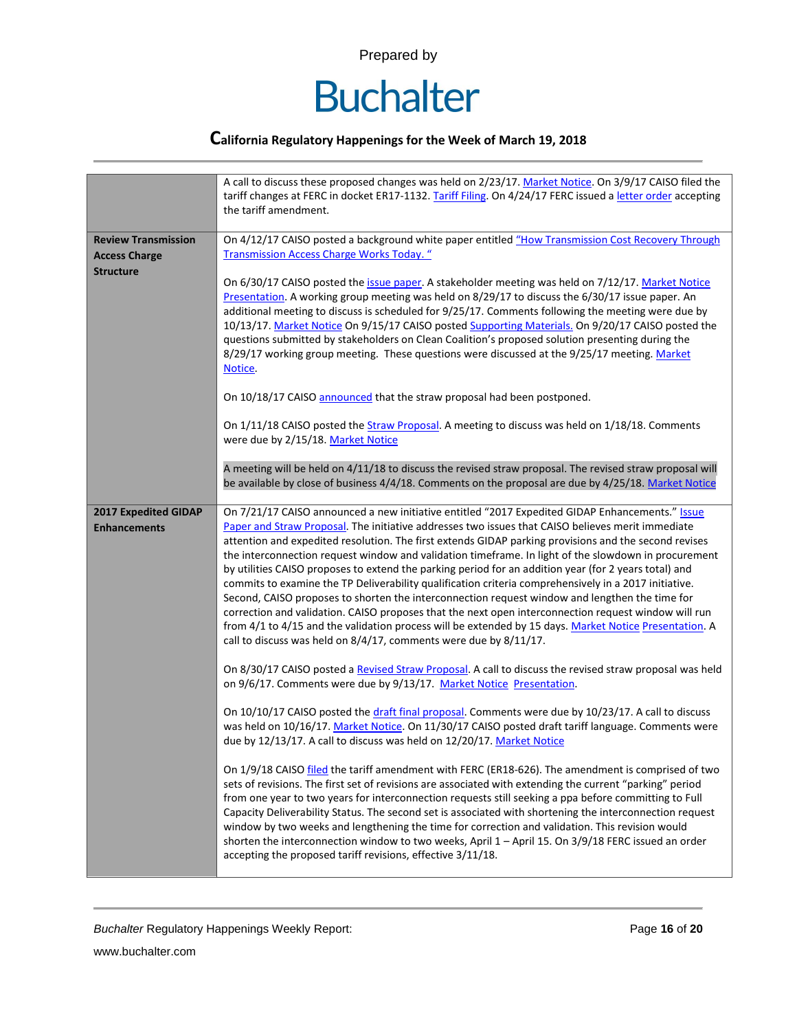

|                                             | A call to discuss these proposed changes was held on 2/23/17. Market Notice. On 3/9/17 CAISO filed the<br>tariff changes at FERC in docket ER17-1132. Tariff Filing. On 4/24/17 FERC issued a letter order accepting<br>the tariff amendment.                                                                                                                                                                                                                                                                                                                                                                                                                                                                                                                                                                                                                                                                                                                                                                                    |  |  |  |  |  |
|---------------------------------------------|----------------------------------------------------------------------------------------------------------------------------------------------------------------------------------------------------------------------------------------------------------------------------------------------------------------------------------------------------------------------------------------------------------------------------------------------------------------------------------------------------------------------------------------------------------------------------------------------------------------------------------------------------------------------------------------------------------------------------------------------------------------------------------------------------------------------------------------------------------------------------------------------------------------------------------------------------------------------------------------------------------------------------------|--|--|--|--|--|
| <b>Review Transmission</b>                  | On 4/12/17 CAISO posted a background white paper entitled "How Transmission Cost Recovery Through                                                                                                                                                                                                                                                                                                                                                                                                                                                                                                                                                                                                                                                                                                                                                                                                                                                                                                                                |  |  |  |  |  |
| <b>Access Charge</b>                        | <b>Transmission Access Charge Works Today.</b> "                                                                                                                                                                                                                                                                                                                                                                                                                                                                                                                                                                                                                                                                                                                                                                                                                                                                                                                                                                                 |  |  |  |  |  |
| <b>Structure</b>                            | On 6/30/17 CAISO posted the issue paper. A stakeholder meeting was held on 7/12/17. Market Notice<br>Presentation. A working group meeting was held on 8/29/17 to discuss the 6/30/17 issue paper. An<br>additional meeting to discuss is scheduled for 9/25/17. Comments following the meeting were due by<br>10/13/17. Market Notice On 9/15/17 CAISO posted Supporting Materials. On 9/20/17 CAISO posted the<br>questions submitted by stakeholders on Clean Coalition's proposed solution presenting during the<br>8/29/17 working group meeting. These questions were discussed at the 9/25/17 meeting. Market<br>Notice.                                                                                                                                                                                                                                                                                                                                                                                                  |  |  |  |  |  |
|                                             | On 10/18/17 CAISO announced that the straw proposal had been postponed.                                                                                                                                                                                                                                                                                                                                                                                                                                                                                                                                                                                                                                                                                                                                                                                                                                                                                                                                                          |  |  |  |  |  |
|                                             | On 1/11/18 CAISO posted the Straw Proposal. A meeting to discuss was held on 1/18/18. Comments<br>were due by 2/15/18. Market Notice                                                                                                                                                                                                                                                                                                                                                                                                                                                                                                                                                                                                                                                                                                                                                                                                                                                                                             |  |  |  |  |  |
|                                             | A meeting will be held on 4/11/18 to discuss the revised straw proposal. The revised straw proposal will<br>be available by close of business 4/4/18. Comments on the proposal are due by 4/25/18. Market Notice                                                                                                                                                                                                                                                                                                                                                                                                                                                                                                                                                                                                                                                                                                                                                                                                                 |  |  |  |  |  |
| 2017 Expedited GIDAP<br><b>Enhancements</b> | On 7/21/17 CAISO announced a new initiative entitled "2017 Expedited GIDAP Enhancements." Issue<br>Paper and Straw Proposal. The initiative addresses two issues that CAISO believes merit immediate<br>attention and expedited resolution. The first extends GIDAP parking provisions and the second revises<br>the interconnection request window and validation timeframe. In light of the slowdown in procurement<br>by utilities CAISO proposes to extend the parking period for an addition year (for 2 years total) and<br>commits to examine the TP Deliverability qualification criteria comprehensively in a 2017 initiative.<br>Second, CAISO proposes to shorten the interconnection request window and lengthen the time for<br>correction and validation. CAISO proposes that the next open interconnection request window will run<br>from 4/1 to 4/15 and the validation process will be extended by 15 days. Market Notice Presentation. A<br>call to discuss was held on 8/4/17, comments were due by 8/11/17. |  |  |  |  |  |
|                                             | On 8/30/17 CAISO posted a Revised Straw Proposal. A call to discuss the revised straw proposal was held<br>on 9/6/17. Comments were due by 9/13/17. Market Notice Presentation.                                                                                                                                                                                                                                                                                                                                                                                                                                                                                                                                                                                                                                                                                                                                                                                                                                                  |  |  |  |  |  |
|                                             | On 10/10/17 CAISO posted the draft final proposal. Comments were due by 10/23/17. A call to discuss<br>was held on 10/16/17. Market Notice. On 11/30/17 CAISO posted draft tariff language. Comments were<br>due by 12/13/17. A call to discuss was held on 12/20/17. Market Notice                                                                                                                                                                                                                                                                                                                                                                                                                                                                                                                                                                                                                                                                                                                                              |  |  |  |  |  |
|                                             | On 1/9/18 CAISO filed the tariff amendment with FERC (ER18-626). The amendment is comprised of two<br>sets of revisions. The first set of revisions are associated with extending the current "parking" period<br>from one year to two years for interconnection requests still seeking a ppa before committing to Full<br>Capacity Deliverability Status. The second set is associated with shortening the interconnection request<br>window by two weeks and lengthening the time for correction and validation. This revision would<br>shorten the interconnection window to two weeks, April 1 - April 15. On 3/9/18 FERC issued an order<br>accepting the proposed tariff revisions, effective 3/11/18.                                                                                                                                                                                                                                                                                                                     |  |  |  |  |  |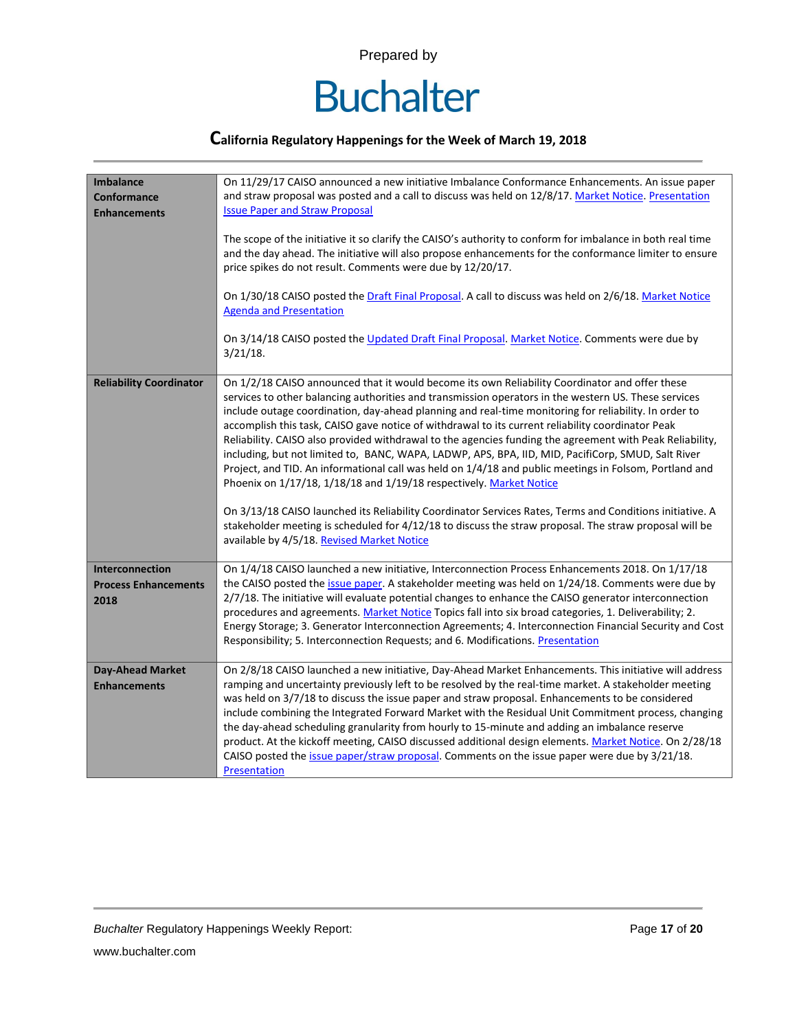

| <b>Imbalance</b><br>Conformance<br><b>Enhancements</b>        | On 11/29/17 CAISO announced a new initiative Imbalance Conformance Enhancements. An issue paper<br>and straw proposal was posted and a call to discuss was held on 12/8/17. Market Notice. Presentation<br><b>Issue Paper and Straw Proposal</b><br>The scope of the initiative it so clarify the CAISO's authority to conform for imbalance in both real time<br>and the day ahead. The initiative will also propose enhancements for the conformance limiter to ensure<br>price spikes do not result. Comments were due by 12/20/17.<br>On 1/30/18 CAISO posted the Draft Final Proposal. A call to discuss was held on 2/6/18. Market Notice<br><b>Agenda and Presentation</b>                                                                                                                                                                                                                                                                                                                                                                                                           |
|---------------------------------------------------------------|---------------------------------------------------------------------------------------------------------------------------------------------------------------------------------------------------------------------------------------------------------------------------------------------------------------------------------------------------------------------------------------------------------------------------------------------------------------------------------------------------------------------------------------------------------------------------------------------------------------------------------------------------------------------------------------------------------------------------------------------------------------------------------------------------------------------------------------------------------------------------------------------------------------------------------------------------------------------------------------------------------------------------------------------------------------------------------------------|
|                                                               | On 3/14/18 CAISO posted the Updated Draft Final Proposal. Market Notice. Comments were due by<br>$3/21/18$ .                                                                                                                                                                                                                                                                                                                                                                                                                                                                                                                                                                                                                                                                                                                                                                                                                                                                                                                                                                                |
| <b>Reliability Coordinator</b>                                | On 1/2/18 CAISO announced that it would become its own Reliability Coordinator and offer these<br>services to other balancing authorities and transmission operators in the western US. These services<br>include outage coordination, day-ahead planning and real-time monitoring for reliability. In order to<br>accomplish this task, CAISO gave notice of withdrawal to its current reliability coordinator Peak<br>Reliability. CAISO also provided withdrawal to the agencies funding the agreement with Peak Reliability,<br>including, but not limited to, BANC, WAPA, LADWP, APS, BPA, IID, MID, PacifiCorp, SMUD, Salt River<br>Project, and TID. An informational call was held on 1/4/18 and public meetings in Folsom, Portland and<br>Phoenix on 1/17/18, 1/18/18 and 1/19/18 respectively. Market Notice<br>On 3/13/18 CAISO launched its Reliability Coordinator Services Rates, Terms and Conditions initiative. A<br>stakeholder meeting is scheduled for 4/12/18 to discuss the straw proposal. The straw proposal will be<br>available by 4/5/18. Revised Market Notice |
| <b>Interconnection</b><br><b>Process Enhancements</b><br>2018 | On 1/4/18 CAISO launched a new initiative, Interconnection Process Enhancements 2018. On 1/17/18<br>the CAISO posted the issue paper. A stakeholder meeting was held on 1/24/18. Comments were due by<br>2/7/18. The initiative will evaluate potential changes to enhance the CAISO generator interconnection<br>procedures and agreements. Market Notice Topics fall into six broad categories, 1. Deliverability; 2.<br>Energy Storage; 3. Generator Interconnection Agreements; 4. Interconnection Financial Security and Cost<br>Responsibility; 5. Interconnection Requests; and 6. Modifications. Presentation                                                                                                                                                                                                                                                                                                                                                                                                                                                                       |
| <b>Day-Ahead Market</b><br><b>Enhancements</b>                | On 2/8/18 CAISO launched a new initiative, Day-Ahead Market Enhancements. This initiative will address<br>ramping and uncertainty previously left to be resolved by the real-time market. A stakeholder meeting<br>was held on 3/7/18 to discuss the issue paper and straw proposal. Enhancements to be considered<br>include combining the Integrated Forward Market with the Residual Unit Commitment process, changing<br>the day-ahead scheduling granularity from hourly to 15-minute and adding an imbalance reserve<br>product. At the kickoff meeting, CAISO discussed additional design elements. Market Notice. On 2/28/18<br>CAISO posted the issue paper/straw proposal. Comments on the issue paper were due by 3/21/18.<br>Presentation                                                                                                                                                                                                                                                                                                                                       |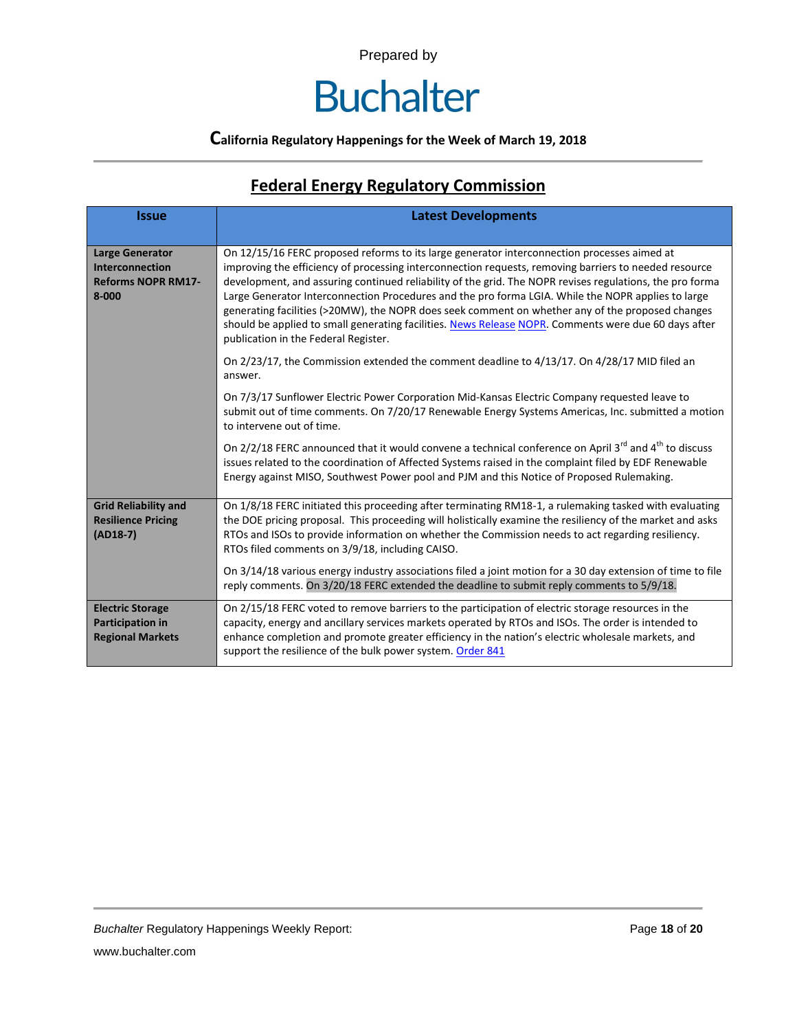### **Buchalter**

#### **California Regulatory Happenings for the Week of March 19, 2018**

### **Federal Energy Regulatory Commission**

| <b>Issue</b>                                                                               | <b>Latest Developments</b>                                                                                                                                                                                                                                                                                                                                                                                                                                                                                                                                                                                                                                                 |  |  |  |
|--------------------------------------------------------------------------------------------|----------------------------------------------------------------------------------------------------------------------------------------------------------------------------------------------------------------------------------------------------------------------------------------------------------------------------------------------------------------------------------------------------------------------------------------------------------------------------------------------------------------------------------------------------------------------------------------------------------------------------------------------------------------------------|--|--|--|
| <b>Large Generator</b><br><b>Interconnection</b><br><b>Reforms NOPR RM17-</b><br>$8 - 000$ | On 12/15/16 FERC proposed reforms to its large generator interconnection processes aimed at<br>improving the efficiency of processing interconnection requests, removing barriers to needed resource<br>development, and assuring continued reliability of the grid. The NOPR revises regulations, the pro forma<br>Large Generator Interconnection Procedures and the pro forma LGIA. While the NOPR applies to large<br>generating facilities (>20MW), the NOPR does seek comment on whether any of the proposed changes<br>should be applied to small generating facilities. News Release NOPR. Comments were due 60 days after<br>publication in the Federal Register. |  |  |  |
|                                                                                            | On 2/23/17, the Commission extended the comment deadline to 4/13/17. On 4/28/17 MID filed an<br>answer.                                                                                                                                                                                                                                                                                                                                                                                                                                                                                                                                                                    |  |  |  |
|                                                                                            | On 7/3/17 Sunflower Electric Power Corporation Mid-Kansas Electric Company requested leave to<br>submit out of time comments. On 7/20/17 Renewable Energy Systems Americas, Inc. submitted a motion<br>to intervene out of time.                                                                                                                                                                                                                                                                                                                                                                                                                                           |  |  |  |
|                                                                                            | On $2/2/18$ FERC announced that it would convene a technical conference on April 3 <sup>rd</sup> and 4 <sup>th</sup> to discuss<br>issues related to the coordination of Affected Systems raised in the complaint filed by EDF Renewable<br>Energy against MISO, Southwest Power pool and PJM and this Notice of Proposed Rulemaking.                                                                                                                                                                                                                                                                                                                                      |  |  |  |
| <b>Grid Reliability and</b><br><b>Resilience Pricing</b><br>$(AD18-7)$                     | On 1/8/18 FERC initiated this proceeding after terminating RM18-1, a rulemaking tasked with evaluating<br>the DOE pricing proposal. This proceeding will holistically examine the resiliency of the market and asks<br>RTOs and ISOs to provide information on whether the Commission needs to act regarding resiliency.<br>RTOs filed comments on 3/9/18, including CAISO.                                                                                                                                                                                                                                                                                                |  |  |  |
|                                                                                            | On 3/14/18 various energy industry associations filed a joint motion for a 30 day extension of time to file<br>reply comments. On 3/20/18 FERC extended the deadline to submit reply comments to 5/9/18.                                                                                                                                                                                                                                                                                                                                                                                                                                                                   |  |  |  |
| <b>Electric Storage</b><br>Participation in<br><b>Regional Markets</b>                     | On 2/15/18 FERC voted to remove barriers to the participation of electric storage resources in the<br>capacity, energy and ancillary services markets operated by RTOs and ISOs. The order is intended to<br>enhance completion and promote greater efficiency in the nation's electric wholesale markets, and<br>support the resilience of the bulk power system. Order 841                                                                                                                                                                                                                                                                                               |  |  |  |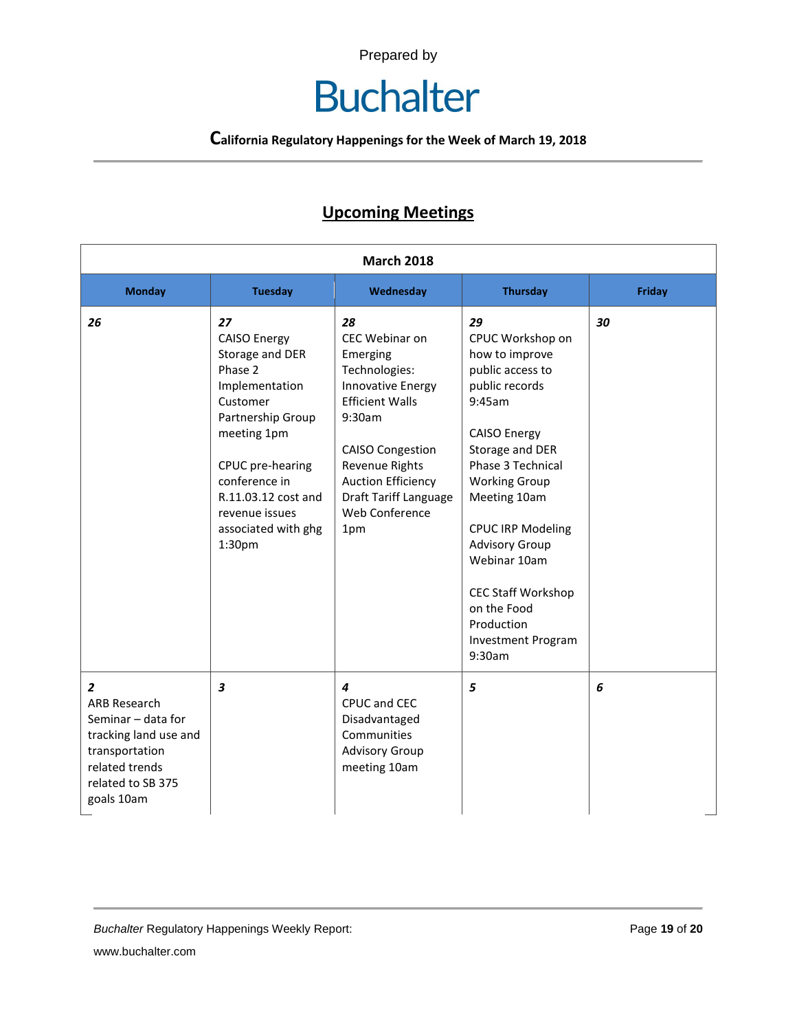# **Buchalter**

**California Regulatory Happenings for the Week of March 19, 2018**

### **Upcoming Meetings**

| <b>March 2018</b>                                                                                                                                           |                                                                                                                                                                                                                                                      |                                                                                                                                                                                                                                               |                                                                                                                                                                                                                                                                                                                                                                       |               |  |
|-------------------------------------------------------------------------------------------------------------------------------------------------------------|------------------------------------------------------------------------------------------------------------------------------------------------------------------------------------------------------------------------------------------------------|-----------------------------------------------------------------------------------------------------------------------------------------------------------------------------------------------------------------------------------------------|-----------------------------------------------------------------------------------------------------------------------------------------------------------------------------------------------------------------------------------------------------------------------------------------------------------------------------------------------------------------------|---------------|--|
| <b>Monday</b>                                                                                                                                               | <b>Tuesday</b>                                                                                                                                                                                                                                       | Wednesday                                                                                                                                                                                                                                     | <b>Thursday</b>                                                                                                                                                                                                                                                                                                                                                       | <b>Friday</b> |  |
| 26                                                                                                                                                          | 27<br><b>CAISO Energy</b><br>Storage and DER<br>Phase 2<br>Implementation<br>Customer<br>Partnership Group<br>meeting 1pm<br>CPUC pre-hearing<br>conference in<br>R.11.03.12 cost and<br>revenue issues<br>associated with ghg<br>1:30 <sub>pm</sub> | 28<br>CEC Webinar on<br>Emerging<br>Technologies:<br>Innovative Energy<br><b>Efficient Walls</b><br>9:30am<br><b>CAISO Congestion</b><br>Revenue Rights<br><b>Auction Efficiency</b><br><b>Draft Tariff Language</b><br>Web Conference<br>1pm | 29<br>CPUC Workshop on<br>how to improve<br>public access to<br>public records<br>9:45am<br><b>CAISO Energy</b><br>Storage and DER<br>Phase 3 Technical<br><b>Working Group</b><br>Meeting 10am<br><b>CPUC IRP Modeling</b><br><b>Advisory Group</b><br>Webinar 10am<br><b>CEC Staff Workshop</b><br>on the Food<br>Production<br><b>Investment Program</b><br>9:30am | 30            |  |
| $\overline{2}$<br><b>ARB Research</b><br>Seminar - data for<br>tracking land use and<br>transportation<br>related trends<br>related to SB 375<br>goals 10am | $\boldsymbol{3}$                                                                                                                                                                                                                                     | $\boldsymbol{4}$<br>CPUC and CEC<br>Disadvantaged<br>Communities<br><b>Advisory Group</b><br>meeting 10am                                                                                                                                     | 5                                                                                                                                                                                                                                                                                                                                                                     | 6             |  |